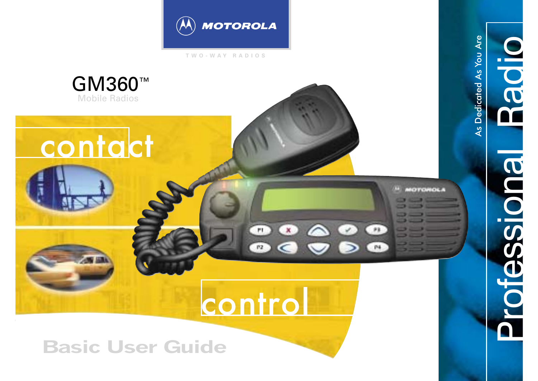

**TWO-WAY RADIOS**



Professional Radio

**Professione** 

**Padio** 

**Basic User Guide**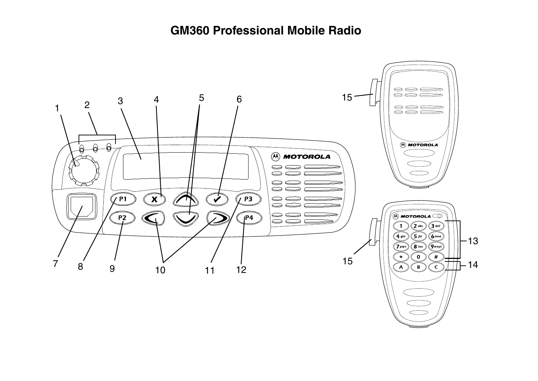# **GM360 Professional Mobile Radio**

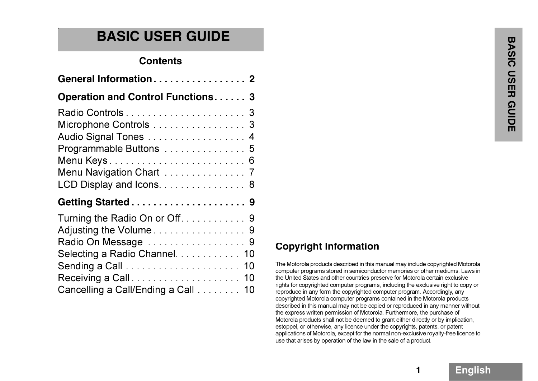# **BASIC USER GUIDE**

## **Contents**

| General Information 2                    |    |
|------------------------------------------|----|
| <b>Operation and Control Functions 3</b> |    |
|                                          |    |
| Microphone Controls 3                    |    |
| Audio Signal Tones 4                     |    |
| Programmable Buttons 5                   |    |
|                                          |    |
| Menu Navigation Chart 7                  |    |
| LCD Display and Icons. 8                 |    |
|                                          |    |
| Turning the Radio On or Off. 9           |    |
| Adjusting the Volume 9                   |    |
| Radio On Message 9                       |    |
| Selecting a Radio Channel.               | 10 |
|                                          |    |
|                                          | 10 |
|                                          | 10 |

# **Copyright Information**

The Motorola products described in this manual may include copyrighted Motorola computer programs stored in semiconductor memories or other mediums. Laws in the United States and other countries preserve for Motorola certain exclusive rights for copyrighted computer programs, including the exclusive right to copy or reproduce in any form the copyrighted computer program. Accordingly, any copyrighted Motorola computer programs contained in the Motorola products described in this manual may not be copied or reproduced in any manner without the express written permission of Motorola. Furthermore, the purchase of Motorola products shall not be deemed to grant either directly or by implication, estoppel, or otherwise, any licence under the copyrights, patents, or patent applications of Motorola, except for the normal non-exclusive royalty-free licence to use that arises by operation of the law in the sale of a product.

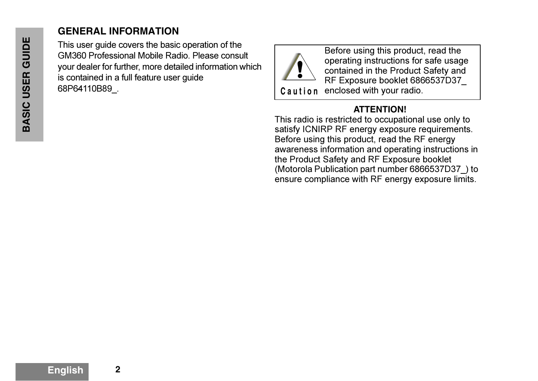# **GENERAL INFORMATION**

This user guide covers the basic operation of the GM360 Professional Mobile Radio. Please consult your dealer for further, more detailed information which is contained in a full feature user guide 68P64110B89\_.



Before using this product, read the operating instructions for safe usage contained in the Product Safety and RF Exposure booklet 6866537D37\_ **Caution** enclosed with your radio.

# **ATTENTION!**

This radio is restricted to occupational use only to satisfy ICNIRP RF energy exposure requirements. Before using this product, read the RF energy awareness information and operating instructions in the Product Safety and RF Exposure booklet (Motorola Publication part number 6866537D37\_) to ensure compliance with RF energy exposure limits.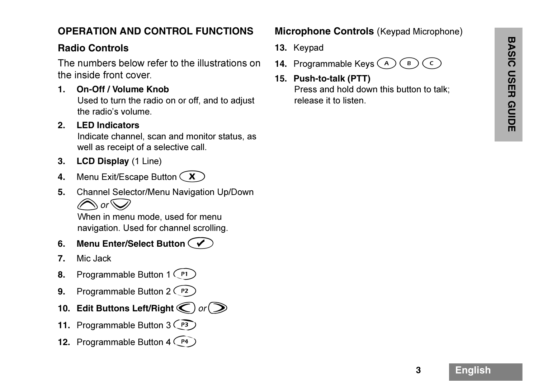# **OPERATION AND CONTROL FUNCTIONS**

Indicate channel, scan and monitor status, as well as receipt of a selective call.

- **3. LCD Display** (1 Line)
- **4.**. Menu Exit/Escape Button  $\bigcirc$
- **5.** Channel Selector/Menu Navigation Up/Down  $\bigcirc$  or  $\bigcirc$

When in menu mode, used for menu navigation. Used for channel scrolling.

- **6. Menu Enter/Select Button** c
- **7.**Mic Jack
- **8.**. Programmable Button 1  $\binom{p_1}{p_2}$
- **9.**. Programmable Button  $2$   $\binom{P2}{P2}$
- **10.** Edit Buttons Left/Right  $\bigcirc$  or  $\bigcirc$
- 11. Programmable Button 3 <sup>(P3</sup>)
- **12.** Programmable Button 4 (P4)

#### **Microphone Controls** (Keypad Microphone)

- **13.** Keypad
- **14.** Programmable Keys  $\textcircled{{A}}$  $\overline{B}$  $\epsilon$
- Radio Controls<br>
The numbers below refer to the illustrations on 14. Programmable Keys (A) (B) (C)<br>
the inside front cover.<br>
15. Push-to-talk (PTT)<br>
15. Push-to-talk (PTT)<br>
Press and hold down this button to talk;<br>
Used to **15. Push-to-talk (PTT)** Press and hold down this button to talk; release it to listen.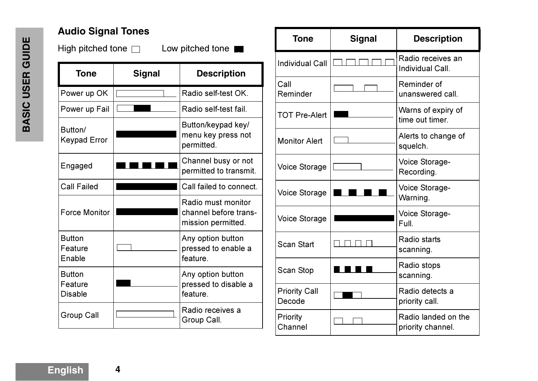# **Audio Signal Tones**

High pitched tone  $\square$  Low pitched tone

| <b>Tone</b>                                | <b>Signal</b> | <b>Description</b>                                                |
|--------------------------------------------|---------------|-------------------------------------------------------------------|
| Power up OK                                |               | Radio self-test OK.                                               |
| Power up Fail                              |               | Radio self-test fail.                                             |
| Button/<br><b>Keypad Error</b>             |               | Button/keypad key/<br>menu key press not<br>permitted.            |
| Engaged                                    |               | Channel busy or not<br>permitted to transmit.                     |
| <b>Call Failed</b>                         |               | Call failed to connect.                                           |
| <b>Force Monitor</b>                       |               | Radio must monitor<br>channel before trans-<br>mission permitted. |
| <b>Button</b><br>Feature<br>Enable         |               | Any option button<br>pressed to enable a<br>feature.              |
| <b>Button</b><br>Feature<br><b>Disable</b> |               | Any option button<br>pressed to disable a<br>feature.             |
| <b>Group Call</b>                          |               | Radio receives a<br>Group Call.                                   |

| <b>Tone</b>                    | <b>Signal</b> | <b>Description</b>                       |
|--------------------------------|---------------|------------------------------------------|
| <b>Individual Call</b>         |               | Radio receives an<br>Individual Call.    |
| Call<br>Reminder               |               | Reminder of<br>unanswered call.          |
| <b>TOT Pre-Alert</b>           |               | Warns of expiry of<br>time out timer.    |
| <b>Monitor Alert</b>           |               | Alerts to change of<br>squelch.          |
| <b>Voice Storage</b>           |               | Voice Storage-<br>Recording.             |
| <b>Voice Storage</b>           |               | Voice Storage-<br>Warning.               |
| <b>Voice Storage</b>           |               | Voice Storage-<br>Full.                  |
| <b>Scan Start</b>              |               | Radio starts<br>scanning.                |
| Scan Stop                      |               | Radio stops<br>scanning.                 |
| <b>Priority Call</b><br>Decode |               | Radio detects a<br>priority call.        |
| Priority<br>Channel            |               | Radio landed on the<br>priority channel. |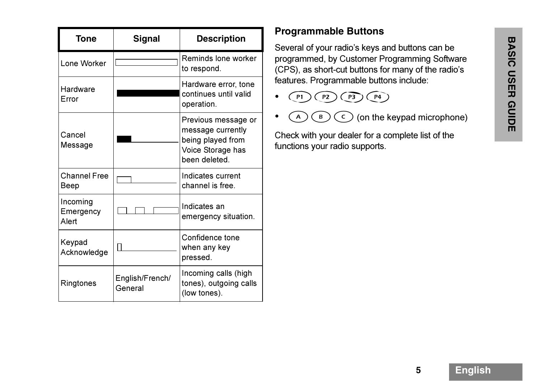| Tone                           | Signal                     | <b>Description</b>                                                                                  |
|--------------------------------|----------------------------|-----------------------------------------------------------------------------------------------------|
| Lone Worker                    |                            | Reminds lone worker<br>to respond.                                                                  |
| Hardware<br>Error              |                            | Hardware error, tone<br>continues until valid<br>operation.                                         |
| Cancel<br>Message              |                            | Previous message or<br>message currently<br>being played from<br>Voice Storage has<br>been deleted. |
| <b>Channel Free</b><br>Beep    |                            | Indicates current<br>channel is free.                                                               |
| Incoming<br>Emergency<br>Alert |                            | Indicates an<br>emergency situation.                                                                |
| Keypad<br>Acknowledge          |                            | Confidence tone<br>when any key<br>pressed.                                                         |
| Ringtones                      | English/French/<br>General | Incoming calls (high<br>tones), outgoing calls<br>(low tones).                                      |

# **Programmable Buttons**

**BASIC USER GUIDE** Several of your radio's keys and buttons can be programmed, by Customer Programming Software (CPS), as short-cut buttons for many of the radio's features. Programmable buttons include: • ghij • { } <sup>|</sup> (on the keypad microphone)

- 
- 

Check with your dealer for a complete list of the functions your radio supports.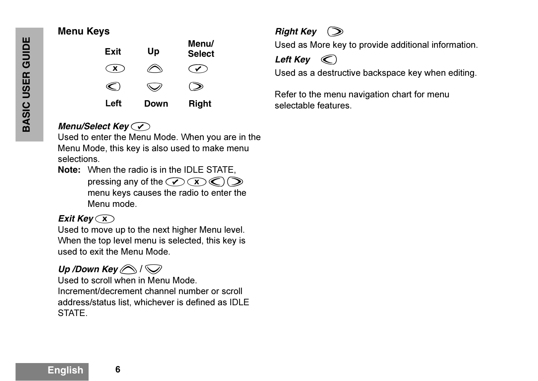## **Menu Keys**



# **Menu/Select Key** $\widehat{\mathcal{F}}$

Used to enter the Menu Mode. When you are in the Menu Mode, this key is also used to make menu selections.

**Note:** When the radio is in the IDLE STATE, pressing any of the  $\mathcal{O}(\mathbf{X})\mathcal{O}(\mathbf{X})$ menu keys causes the radio to enter the Menu mode.

## **Exit Key**  $\bigcirc$ **x**  $\bigcirc$

Used to move up to the next higher Menu level. When the top level menu is selected, this key is used to exit the Menu Mode.

# *Up* /Down Key  $\bigotimes$  /  $\bigotimes$

Used to scroll when in Menu Mode.Increment/decrement channel number or scroll address/status list, whichever is defined as IDLE STATE.



Used as More key to provide additional information.

Left **Key**  $\mathbb{C}$ 

Used as a destructive backspace key when editing.

Refer to the menu navigation chart for menu selectable features.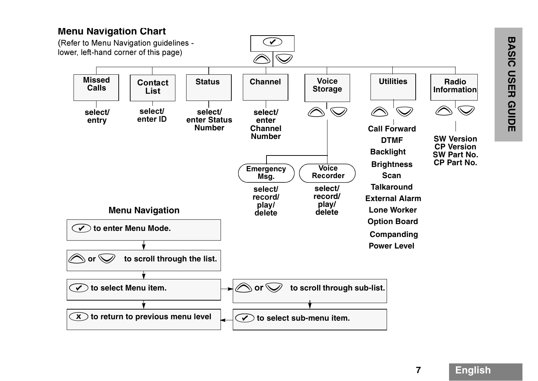#### **Menu Navigation Chart**

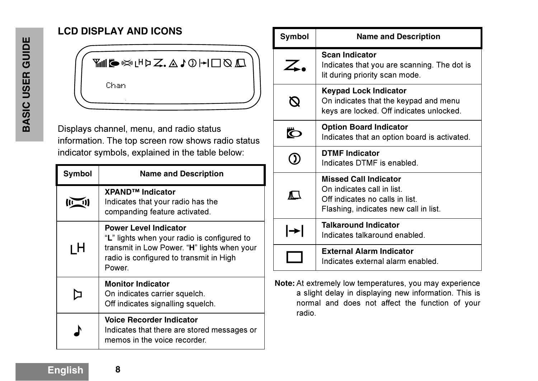# **LCD DISPLAY AND ICONS**



Displays channel, menu, and radio status information. The top screen row shows radio status indicator symbols, explained in the table below:

| Symbol | <b>Name and Description</b>                                                                                                                                                     |
|--------|---------------------------------------------------------------------------------------------------------------------------------------------------------------------------------|
|        | XPAND <sup>™</sup> Indicator<br>Indicates that your radio has the<br>companding feature activated.                                                                              |
| ιH     | <b>Power Level Indicator</b><br>"L" lights when your radio is configured to<br>transmit in Low Power. "H" lights when your<br>radio is configured to transmit in High<br>Power. |
|        | <b>Monitor Indicator</b><br>On indicates carrier squelch.<br>Off indicates signalling squelch.                                                                                  |
|        | <b>Voice Recorder Indicator</b><br>Indicates that there are stored messages or<br>memos in the voice recorder.                                                                  |

| Symbol | <b>Name and Description</b>                                                                                                            |
|--------|----------------------------------------------------------------------------------------------------------------------------------------|
|        | <b>Scan Indicator</b><br>Indicates that you are scanning. The dot is<br>lit during priority scan mode.                                 |
|        | <b>Keypad Lock Indicator</b><br>On indicates that the keypad and menu<br>keys are locked. Off indicates unlocked.                      |
| Ö      | <b>Option Board Indicator</b><br>Indicates that an option board is activated.                                                          |
|        | <b>DTMF Indicator</b><br>Indicates DTMF is enabled.                                                                                    |
| ∧ \    | <b>Missed Call Indicator</b><br>On indicates call in list.<br>Off indicates no calls in list.<br>Flashing, indicates new call in list. |
| ┡      | <b>Talkaround Indicator</b><br>Indicates talkaround enabled.                                                                           |
|        | <b>External Alarm Indicator</b><br>Indicates external alarm enabled.                                                                   |

**Note:** At extremely low temperatures, you may experience a slight delay in displaying new information. This is normal and does not affect the function of your radio.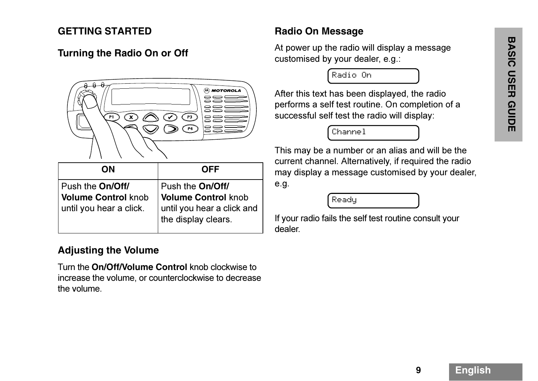#### **GETTING STARTED**



| OΝ                                                                               | <b>OFF</b>                                                                                                  |
|----------------------------------------------------------------------------------|-------------------------------------------------------------------------------------------------------------|
| Push the <b>On/Off/</b><br><b>Volume Control knob</b><br>until you hear a click. | Push the On/Off/<br><b>Volume Control knob</b><br>$\vert$ until you hear a click and<br>the display clears. |

#### **Adjusting the Volume**

Turn the **On/Off/Volume Control** knob clockwise to increase the volume, or counterclockwise to decrease the volume.

# **Radio On Message**

At power up the radio will display a message customised by your dealer, e.g.:

Radio On

After this text has been displayed, the radio performs a self test routine. On completion of a successful self test the radio will display:

Channel

This may be a number or an alias and will be the current channel. Alternatively, if required the radio may display a message customised by your dealer, e.g.

Ready

If your radio fails the self test routine consult your dealer.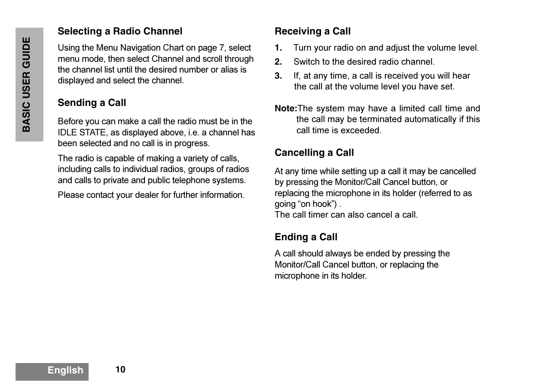#### **Selecting <sup>a</sup> Radio Channel**

Using the Menu Navigation Chart on page 7, select menu mode, then select Channel and scroll through the channel list until the desired number or alias is displayed and select the channel.

# **Sending <sup>a</sup> Call**

Before you can make a call the radio must be in the IDLE STATE, as displayed above, i.e. a channel has been selected and no call is in progress.

The radio is capable of making a variety of calls, including calls to individual radios, groups of radios and calls to private and public telephone systems.

Please contact your dealer for further information.

# **Receiving <sup>a</sup> Call**

- **1.**Turn your radio on and adjust the volume level.
- **2.**Switch to the desired radio channel.
- **3.** If, at any time, a call is received you will hear the call at the volume level you have set.
- **Note:**The system may have a limited call time and the call may be terminated automatically if this call time is exceeded.

# **Cancelling <sup>a</sup> Call**

At any time while setting up a call it may be cancelled by pressing the Monitor/Call Cancel button, or replacing the microphone in its holder (referred to as going "on hook") .

The call timer can also cancel a call.

# **Ending <sup>a</sup> Call**

A call should always be ended by pressing the Monitor/Call Cancel button, or replacing the microphone in its holder.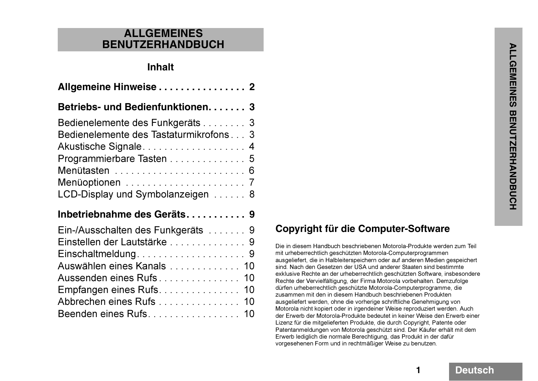#### **ALLGEMEINES BENUTZERHANDBUCH**

#### **Inhalt**

| Allgemeine Hinweise  2                 |
|----------------------------------------|
| Betriebs- und Bedienfunktionen. 3      |
| Bedienelemente des Funkgeräts 3        |
| Bedienelemente des Tastaturmikrofons 3 |
| Akustische Signale 4                   |
| Programmierbare Tasten 5               |
| Menütasten  6                          |
|                                        |
| LCD-Display und Symbolanzeigen 8       |
| Inbetriebnahme des Geräts 9            |
| Ein-/Ausschalten des Funkgeräts 9      |
| Einstellen der Lautstärke  9           |
|                                        |
| Auswählen eines Kanals 10              |
| Aussenden eines Rufs 10                |
| Empfangen eines Rufs. 10               |
| Abbrechen eines Rufs 10                |
|                                        |

# **Copyright für die Computer-Software**

Die in diesem Handbuch beschriebenen Motorola-Produkte werden zum Teil mit urheberrechtlich geschützten Motorola-Computerprogrammen ausgeliefert, die in Halbleiterspeichern oder auf anderen Medien gespeichert sind. Nach den Gesetzen der USA und anderer Staaten sind bestimmte exklusive Rechte an der urheberrechtlich geschützten Software, insbesondere Rechte der Vervielfältigung, der Firma Motorola vorbehalten. Demzufolge dürfen urheberrechtlich geschützte Motorola-Computerprogramme, die zusammen mit den in diesem Handbuch beschriebenen Produkten ausgeliefert werden, ohne die vorherige schriftliche Genehmigung von Motorola nicht kopiert oder in irgendeiner Weise reproduziert werden. Auch der Erwerb der Motorola-Produkte bedeutet in keiner Weise den Erwerb einer Lizenz für die mitgelieferten Produkte, die durch Copyright, Patente oder Patentanmeldungen von Motorola geschützt sind. Der Käufer erhält mit dem Erwerb lediglich die normale Berechtigung, das Produkt in der dafür vorgesehenen Form und in rechtmäßiger Weise zu benutzen.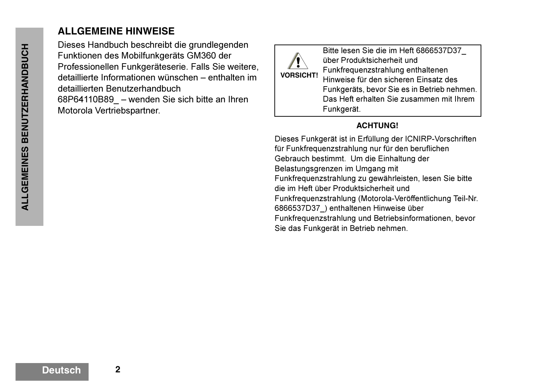# **ALLGEMEINE HINWEISE**

Dieses Handbuch beschreibt die grundlegenden Funktionen des Mobilfunkgeräts GM360 der Professionellen Funkgeräteserie. Falls Sie weitere, detaillierte Informationen wünschen – enthalten im detaillierten Benutzerhandbuch 68P64110B89\_ – wenden Sie sich bitte an Ihren Motorola Vertriebspartner.



Bitte lesen Sie die im Heft 6866537D37\_ über Produktsicherheit und Funkfrequenzstrahlung enthaltenen Hinweise für den sicheren Einsatz des Funkgeräts, bevor Sie es in Betrieb nehmen. Das Heft erhalten Sie zusammen mit Ihrem Funkgerät.

#### **ACHTUNG!**

Dieses Funkgerät ist in Erfüllung der ICNIRP-Vorschriften für Funkfrequenzstrahlung nur für den beruflichen Gebrauch bestimmt. Um die Einhaltung der Belastungsgrenzen im Umgang mit Funkfrequenzstrahlung zu gewährleisten, lesen Sie bitte die im Heft über Produktsicherheit und Funkfrequenzstrahlung (Motorola-Veröffentlichung Teil-Nr. 6866537D37\_) enthaltenen Hinweise über Funkfrequenzstrahlung und Betriebsinformationen, bevor Sie das Funkgerät in Betrieb nehmen.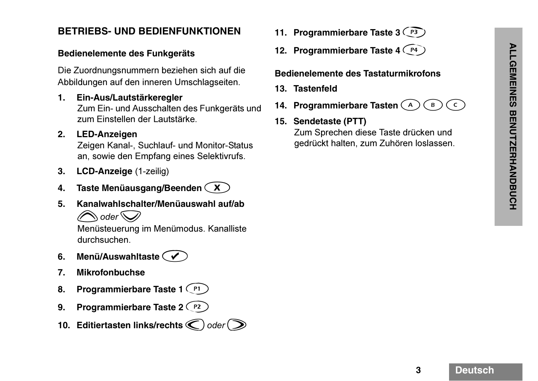#### **BETRIEBS- UND BEDIENFUNKTIONEN**

#### **Bedienelemente des Funkgeräts**

Die Zuordnungsnummern beziehen sich auf die Abbildungen auf den inneren Umschlagseiten.

**1. Ein-Aus/Lautstärkeregler**  Zum Ein- und Ausschalten des Funkgeräts und zum Finstellen der Lautstärke

#### **2. LED-Anzeigen**

Zeigen Kanal-, Suchlauf- und Monitor-Status an, sowie den Empfang eines Selektivrufs.

- **3. LCD-Anzeige** (1-zeilig)
- **4. Taste Menüausgang/Beenden**  x
- **5. Kanalwahlschalter/Menüauswahl auf/ab**
	- **s**oder<sup>Q</sup>

Menüsteuerung im Menümodus. Kanalliste durchsuchen.

- **6. Menü/Auswahltaste**  c
- **7. Mikrofonbuchse**
- **8.** Programmierbare Taste 1 (P1)
- **9.** Programmierbare Taste 2 (P2)
- **10. Editiertasten links/rechts**  $\bigcirc$  **oder**  $\bigcirc$
- 11. Programmierbare Taste 3 <sup>(P3</sup>)
- **12. Programmierbare Taste 4 (P4)**

#### **Bedienelemente des Tastaturmikrofons**

- **13. Tastenfeld**
- **14. Programmierbare Tasten**  {  $\mathbf B$  $\epsilon$
- **15. Sendetaste (PTT)** Zum Sprechen diese Taste drücken und gedrückt halten, zum Zuhören loslassen.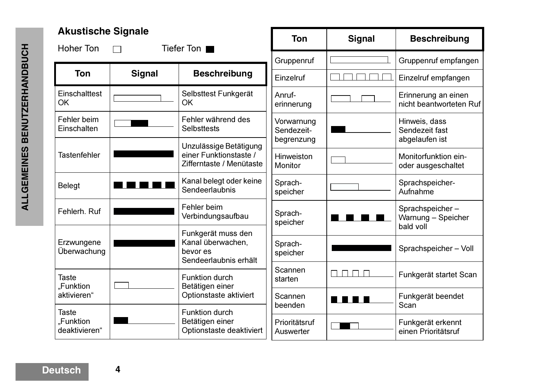| <b>Akustische Signale</b><br><b>Hoher Ton</b> |               | Tiefer Ton ■                                                                 | <b>Ton</b>                             | <b>Signal</b>                       | <b>Beschreibung</b>                                |
|-----------------------------------------------|---------------|------------------------------------------------------------------------------|----------------------------------------|-------------------------------------|----------------------------------------------------|
|                                               |               |                                                                              | Gruppenruf                             |                                     | Gruppenruf empfangen                               |
| <b>Ton</b>                                    | <b>Signal</b> | <b>Beschreibung</b>                                                          | Einzelruf                              |                                     | Einzelruf empfangen                                |
| Einschalttest<br><b>OK</b>                    |               | Selbsttest Funkgerät<br><b>OK</b>                                            | Anruf-<br>erinnerung                   |                                     | Erinnerung an einen<br>nicht beantworteten Ruf     |
| Fehler beim<br>Einschalten                    |               | Fehler während des<br><b>Selbsttests</b>                                     | Vorwarnung<br>Sendezeit-<br>begrenzung |                                     | Hinweis, dass<br>Sendezeit fast<br>abgelaufen ist  |
| <b>Tastenfehler</b>                           |               | Unzulässige Betätigung<br>einer Funktionstaste /<br>Zifferntaste / Menütaste | Hinweiston<br><b>Monitor</b>           |                                     | Monitorfunktion ein-<br>oder ausgeschaltet         |
| <b>Belegt</b>                                 |               | Kanal belegt oder keine<br>Sendeerlaubnis                                    | Sprach-<br>speicher                    |                                     | Sprachspeicher-<br>Aufnahme                        |
| Fehlerh. Ruf                                  |               | Fehler beim<br>Verbindungsaufbau                                             | Sprach-<br>speicher                    |                                     | Sprachspeicher-<br>Warnung - Speicher<br>bald voll |
| Erzwungene<br>Überwachung                     |               | Funkgerät muss den<br>Kanal überwachen,<br>bevor es<br>Sendeerlaubnis erhält | Sprach-<br>speicher                    |                                     | Sprachspeicher - Voll                              |
| <b>Taste</b><br>"Funktion                     |               | <b>Funktion durch</b><br>Betätigen einer                                     | Scannen<br>starten                     | $\perp$                             | Funkgerät startet Scan                             |
| aktivieren"                                   |               | Optionstaste aktiviert                                                       | Scannen<br>beenden                     | 1 E I<br>$\mathcal{L}^{\text{max}}$ | Funkgerät beendet<br>Scan                          |
| <b>Taste</b><br>"Funktion<br>deaktivieren"    |               | Funktion durch<br>Betätigen einer<br>Optionstaste deaktiviert                | Prioritätsruf<br>Auswerter             |                                     | Funkgerät erkennt<br>einen Prioritätsruf           |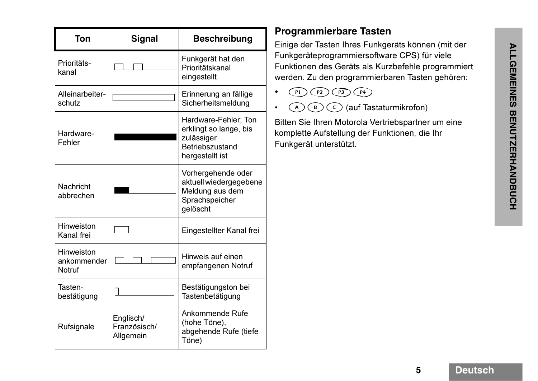| Ton                                 | <b>Signal</b>                          | <b>Beschreibung</b>                                                                                |
|-------------------------------------|----------------------------------------|----------------------------------------------------------------------------------------------------|
| Prioritäts-<br>kanal                |                                        | Funkgerät hat den<br>Prioritätskanal<br>eingestellt.                                               |
| Alleinarbeiter-<br>schutz           |                                        | Erinnerung an fällige<br>Sicherheitsmeldung                                                        |
| Hardware-<br>Fehler                 |                                        | Hardware-Fehler; Ton<br>erklingt so lange, bis<br>zulässiger<br>Betriebszustand<br>hergestellt ist |
| <b>Nachricht</b><br>abbrechen       |                                        | Vorhergehende oder<br>aktuell wiedergegebene<br>Meldung aus dem<br>Sprachspeicher<br>gelöscht      |
| Hinweiston<br>Kanal frei            |                                        | Eingestellter Kanal frei                                                                           |
| Hinweiston<br>ankommender<br>Notruf |                                        | Hinweis auf einen<br>empfangenen Notruf                                                            |
| Tasten-<br>bestätigung              |                                        | Bestätigungston bei<br>Tastenbetätigung                                                            |
| Rufsignale                          | Englisch/<br>Französisch/<br>Allgemein | Ankommende Rufe<br>(hohe Töne),<br>abgehende Rufe (tiefe<br>Töne)                                  |

#### **Programmierbare Tasten**

Einige der Tasten Ihres Funkgeräts können (mit der Funkgeräteprogrammiersoftware CPS) für viele Funktionen des Geräts als Kurzbefehle programmiert werden. Zu den programmierbaren Tasten gehören:

- • $P1)$  $(P2)$  $(P3)$  $(P4)$
- • $(\widehat{A})(\widehat{B})(\widehat{C})$  (auf Tastaturmikrofon)

Bitten Sie Ihren Motorola Vertriebspartner um eine komplette Aufstellung der Funktionen, die Ihr Funkgerät unterstützt.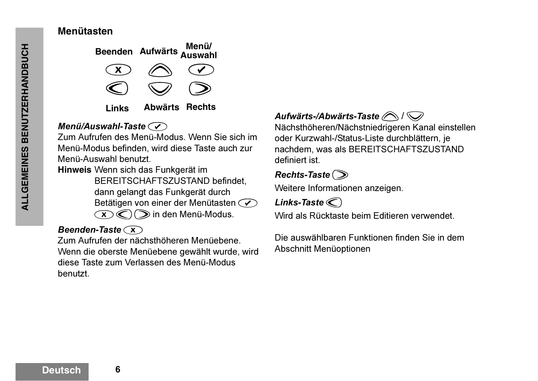# **BENUTZERHANDBUCH ALLGEMEINES BENUTZERHANDBUCH ALLGEMEINES**

#### **Menütasten**



## *Menü/Auswahl-Taste*c

Zum Aufrufen des Menü-Modus. Wenn Sie sich im Menü-Modus befinden, wird diese Taste auch zur Menü-Auswahl benutzt.

**Hinweis** Wenn sich das Funkgerät im BEREITSCHAFTSZUSTAND befindet, dann gelangt das Funkgerät durch Betätigen von einer der Menütasten  $\odot$ 

 $\mathcal{L}(\mathbf{X})\bigotimes \mathbf{I}$  in den Menü-Modus.

# *Beenden-Taste*  $\widehat{\mathbf{x}}$

Zum Aufrufen der nächsthöheren Menüebene. Wenn die oberste Menüebene gewählt wurde, wird diese Taste zum Verlassen des Menü-Modus benutzt.

# Aufwärts-/Abwärts-Taste<sup>(</sup> $\bigcirc$ / $\bigcirc$

Nächsthöheren/Nächstniedrigeren Kanal einstellen oder Kurzwahl-/Status-Liste durchblättern, je nachdem, was als BEREITSCHAFTSZUSTAND definiert ist.

# $Rechts-Taste$

Weitere Informationen anzeigen.

 $Links$ -Taste $\textcircled{C}$ 

Wird als Rücktaste beim Editieren verwendet.

Die auswählbaren Funktionen finden Sie in dem Abschnitt Menüoptionen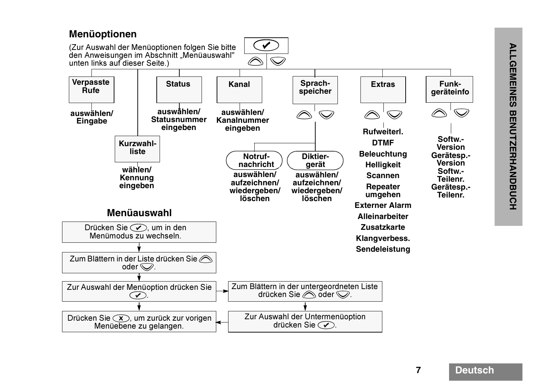#### Aller Menüauswahlen/<br>
ALLER Seite.)<br>
ALLER Status (Status and dieser Seite.)<br> **ALLER Status (Status and dieser Seite.)**<br> **ALLER Status (Status and Status and Specifier Status and Specifier Status (Status and Specifier Stat** nen folgen Sie bitte<br>
iitt "Menüauswahl"<br>
Status Kanal<br>
swählen/<br>
swählen/<br>
swählen/<br>
Kanal<br>
swählen/<br>
Rotruf-<br>
ngeben<br>
Chotruf-<br>
auswählen/<br>
aufzeichnen/<br>
wiedergeben/<br>
löschen<br>
l Drücken Sie  $\mathcal{C}$ , um in den Menümodus zu wechseln.Zum Blättern in der Liste drücken Sie  $\oslash$ oder  $\mathcal{D}$ . Zur Auswahl der Menüoption drücken Sie  $\left(\sqrt{\phantom{a}}\right)$ Drücken Sie  $(x)$ , um zurück zur vorigen Menüebene zu gelangen. Zum Blättern in der untergeordneten Liste drücken Sie  $\oslash$  oder  $\oslash$ . Zur Auswahl der Untermenüoption drücken Sie  $\mathcal{C}$ . **Menüoptionen** (Zur Auswahl der Menüoptionen folgen Sie bitte den Anweisungen im Abschnitt "Menüauswahl" unten links auf dieser Seite.) **Softw.-VersionGerätesp.- VersionSoftw.- Teilenr.Gerätesp.- Teilenr.auswählen/Eingabe wählen/Kennung eingeben Sprach-Kanal** Sprach-<br>
speicher  $\circledcirc$   $\circledcirc$   $\circledcirc$   $\circledcirc$ **Verpasste RufeDiktiergerät auswählen/aufzeichnen/wiedergeben/ löschenauswählen/ Kanalnummereingeben Kurzwahllisteauswählen/Statusnummereingeben StatusNotrufnachricht auswählen/aufzeichnen/wiedergeben/ löschenFunk-Extras** Funk-<br> **geräteinfo**  $\curvearrowright$ **Rufweiterl.DTMFBeleuchtung Helligkeit ScannenRepeater umgehen Externer AlarmAlleinarbeiterZusatzkarteKlangverbess. Sendeleistung**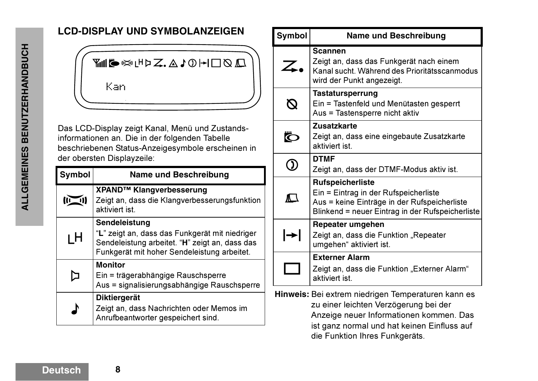# **LCD-DISPLAY UND SYMBOLANZEIGEN**



Das LCD-Display zeigt Kanal, Menü und Zustandsinformationen an. Die in der folgenden Tabelle beschriebenen Status-Anzeigesymbole erscheinen in der obersten Displayzeile:

| <b>Symbol</b> | <b>Name und Beschreibung</b>                                                                                                                                     |
|---------------|------------------------------------------------------------------------------------------------------------------------------------------------------------------|
|               | XPAND™ Klangverbesserung<br>Zeigt an, dass die Klangverbesserungsfunktion<br>aktiviert ist.                                                                      |
| ıН            | Sendeleistung<br>"L" zeigt an, dass das Funkgerät mit niedriger<br>Sendeleistung arbeitet. "H" zeigt an, dass das<br>Funkgerät mit hoher Sendeleistung arbeitet. |
|               | <b>Monitor</b><br>Ein = trägerabhängige Rauschsperre<br>Aus = signalisierungsabhängige Rauschsperre                                                              |
|               | <b>Diktiergerät</b><br>Zeigt an, dass Nachrichten oder Memos im<br>Anrufbeantworter gespeichert sind.                                                            |

| Symbol                    | <b>Name und Beschreibung</b>                                                                                                                                         |
|---------------------------|----------------------------------------------------------------------------------------------------------------------------------------------------------------------|
| Z.                        | <b>Scannen</b><br>Zeigt an, dass das Funkgerät nach einem<br>Kanal sucht. Während des Prioritätsscanmodus<br>wird der Punkt angezeigt.                               |
| $\boldsymbol{\mathsf{D}}$ | <b>Tastatursperrung</b><br>Ein = Tastenfeld und Menütasten gesperrt<br>Aus = Tastensperre nicht aktiv                                                                |
| Ö                         | <b>Zusatzkarte</b><br>Zeigt an, dass eine eingebaute Zusatzkarte<br>aktiviert ist.                                                                                   |
|                           | <b>DTMF</b><br>Zeigt an, dass der DTMF-Modus aktiv ist.                                                                                                              |
| $\Box$                    | <b>Rufspeicherliste</b><br>Ein = Eintrag in der Rufspeicherliste<br>Aus = keine Einträge in der Rufspeicherliste<br>Blinkend = neuer Eintrag in der Rufspeicherliste |
| l→l                       | Repeater umgehen<br>Zeigt an, dass die Funktion "Repeater<br>umgehen" aktiviert ist.                                                                                 |
|                           | <b>Externer Alarm</b><br>Zeigt an, dass die Funktion "Externer Alarm"<br>aktiviert ist.                                                                              |

**Hinweis:** Bei extrem niedrigen Temperaturen kann es zu einer leichten Verzögerung bei der Anzeige neuer Informationen kommen. Das ist ganz normal und hat keinen Einfluss auf die Funktion Ihres Funkgeräts.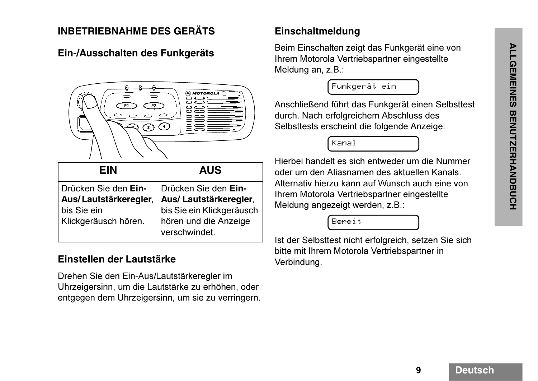## **INBETRIEBNAHME DES GERÄTS**

#### **Ein-/Ausschalten des Funkgeräts**



| <b>EIN</b>                                    | <b>AUS</b>                                                          |
|-----------------------------------------------|---------------------------------------------------------------------|
| Drücken Sie den Ein-<br>Aus/Lautstärkeregler, | Drücken Sie den Ein-<br>Aus/Lautstärkeregler,                       |
| bis Sie ein<br>Klickgeräusch hören.           | bis Sie ein Klickgeräusch<br>hören und die Anzeige<br>verschwindet. |

#### **Einstellen der Lautstärke**

Drehen Sie den Ein-Aus/Lautstärkeregler im Uhrzeigersinn, um die Lautstärke zu erhöhen, oder entgegen dem Uhrzeigersinn, um sie zu verringern.

#### **Einschaltmeldung**

Beim Einschalten zeigt das Funkgerät eine von Ihrem Motorola Vertriebspartner eingestellte Meldung an, z.B.:

Funkgerät ein

Anschließend führt das Funkgerät einen Selbsttest durch. Nach erfolgreichem Abschluss des Selbsttests erscheint die folgende Anzeige:

Kanal

Hierbei handelt es sich entweder um die Nummer oder um den Aliasnamen des aktuellen Kanals. Alternativ hierzu kann auf Wunsch auch eine von Ihrem Motorola Vertriebspartner eingestellte Meldung angezeigt werden, z.B.:

Bereit

Ist der Selbsttest nicht erfolgreich, setzen Sie sich bitte mit Ihrem Motorola Vertriebspartner in Verbindung.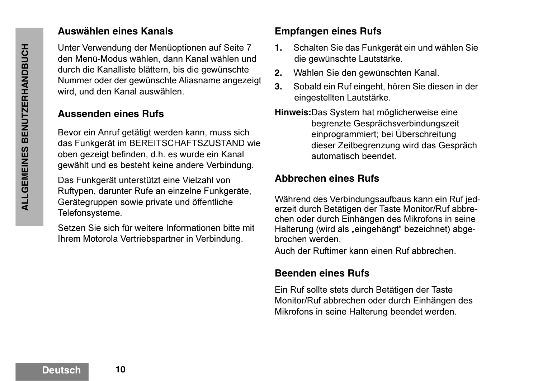#### **Auswählen eines Kanals**

Unter Verwendung der Menüoptionen auf Seite 7 den Menü-Modus wählen, dann Kanal wählen und durch die Kanalliste blättern, bis die gewünschte Nummer oder der gewünschte Aliasname angezeigt wird, und den Kanal auswählen.

#### **Aussenden eines Rufs**

Bevor ein Anruf getätigt werden kann, muss sich das Funkgerät im BEREITSCHAFTSZUSTAND wie oben gezeigt befinden, d.h. es wurde ein Kanal gewählt und es besteht keine andere Verbindung.

Das Funkgerät unterstützt eine Vielzahl von Ruftypen, darunter Rufe an einzelne Funkgeräte, Gerätegruppen sowie private und öffentliche Telefonsysteme.

Setzen Sie sich für weitere Informationen bitte mit Ihrem Motorola Vertriebspartner in Verbindung.

# **Empfangen eines Rufs**

- **1.** Schalten Sie das Funkgerät ein und wählen Sie die gewünschte Lautstärke.
- **2.**Wählen Sie den gewünschten Kanal.
- **3.** Sobald ein Ruf eingeht, hören Sie diesen in der eingestellten Lautstärke.
- **Hinweis:**Das System hat möglicherweise eine begrenzte Gesprächsverbindungszeit einprogrammiert; bei Überschreitung dieser Zeitbegrenzung wird das Gespräch automatisch beendet.

#### **Abbrechen eines Rufs**

Während des Verbindungsaufbaus kann ein Ruf jederzeit durch Betätigen der Taste Monitor/Ruf abbrechen oder durch Einhängen des Mikrofons in seine Halterung (wird als "eingehängt" bezeichnet) abgebrochen werden.

Auch der Ruftimer kann einen Ruf abbrechen.

## **Beenden eines Rufs**

Ein Ruf sollte stets durch Betätigen der Taste Monitor/Ruf abbrechen oder durch Einhängen des Mikrofons in seine Halterung beendet werden.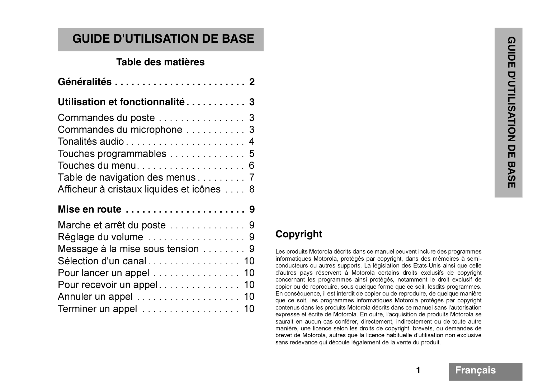| <b>GUIDE D'UTILISATION DE BASE</b>         |  |
|--------------------------------------------|--|
| Table des matières                         |  |
| Généralités  2                             |  |
| Utilisation et fonctionnalité 3            |  |
|                                            |  |
|                                            |  |
| Tonalités audio 4                          |  |
| Touches programmables 5                    |  |
| Touches du menu 6                          |  |
| Table de navigation des menus 7            |  |
| Afficheur à cristaux liquides et icônes  8 |  |
| Mise en route  9                           |  |
|                                            |  |

| Message à la mise sous tension 9 |  |
|----------------------------------|--|
|                                  |  |
| Pour lancer un appel 10          |  |
| Pour recevoir un appel 10        |  |
| Annuler un appel 10              |  |
| Terminer un appel 10             |  |
|                                  |  |

# **Copyright**

Les produits Motorola décrits dans ce manuel peuvent inclure des programmes informatiques Motorola, protégés par copyright, dans des mémoires à semiconducteurs ou autres supports. La législation des Etats-Unis ainsi que celle d'autres pays réservent à Motorola certains droits exclusifs de copyright concernant les programmes ainsi protégés, notamment le droit exclusif de copier ou de reproduire, sous quelque forme que ce soit, lesdits programmes. En conséquence, il est interdit de copier ou de reproduire, de quelque manière que ce soit, les programmes informatiques Motorola protégés par copyright contenus dans les produits Motorola décrits dans ce manuel sans l'autorisation expresse et écrite de Motorola. En outre, l'acquisition de produits Motorola se saurait en aucun cas conférer, directement, indirectement ou de toute autre manière, une licence selon les droits de copyright, brevets, ou demandes de brevet de Motorola, autres que la licence habituelle d'utilisation non exclusive sans redevance qui découle légalement de la vente du produit.

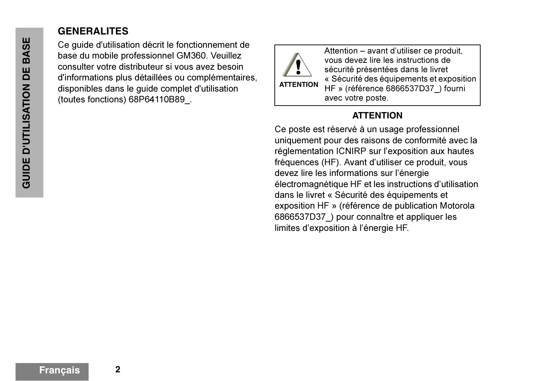# **GENERALITES**

Ce guide d'utilisation décrit le fonctionnement de base du mobile professionnel GM360. Veuillez consulter votre distributeur si vous avez besoin d'informations plus détaillées ou complémentaires, disponibles dans le guide complet d'utilisation (toutes fonctions) 68P64110B89\_.



Attention – avant d'utiliser ce produit, vous devez lire les instructions de sécurité présentées dans le livret « Sécurité des équipements et exposition HF » (référence 6866537D37) fourni avec votre poste.

#### **ATTENTION**

Ce poste est réservé à un usage professionnel uniquement pour des raisons de conformité avec la réglementation ICNIRP sur l'exposition aux hautes fréquences (HF). Avant d'utiliser ce produit, vous devez lire les informations sur l'énergie électromagnétique HF et les instructions d'utilisation dans le livret « Sécurité des équipements et exposition HF » (référence de publication Motorola 6866537D37\_) pour connaître et appliquer les limites d'exposition à l'énergie HF.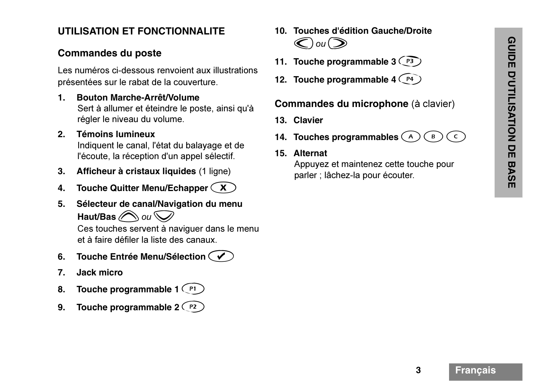#### **UTILISATION ET FONCTIONNALITE**

- Commandes du poste<br>
Les numéros ci-dessous renvoient aux illustrations<br>
présentées sur le rabat de la couverture.<br>
1. Bouton Marche-Arrêt/Volume<br>
Set à allumer et éteindre le poste, ainsi qu'à<br>
régle le niveau du volume.<br>
- 
- 
- Touche Quitter Menu/Echapper  $(X)$
- **5. Sélecteur de canal/Navigation du menu Haut/Bas** @ ou  $\bigcirc$

Ces touches servent à naviguer dans le menu et à faire défiler la liste des canaux.

- **6. Touche Entrée Menu/Sélection**  c
- **7. Jack micro**
- **8.** Touche programmable 1 (PI)
- **9.** Touche programmable 2 (P2)
- **10. Touches d'édition Gauche/Droite**  $\bigodot$ ou $\bigodot$
- **11.** Touche programmable 3  $\binom{P3}{P}$
- **12. Touche programmable 4**  $\textcolor{red}{\text{ (P4)} }$

#### **Commandes du microphone** (à clavier)

- **13. Clavier**
- **14. Touches programmables**  {  $\mathbf B$  $\mathsf{C}$
- **15. Alternat**

Appuyez et maintenez cette touche pour parler ; lâchez-la pour écouter.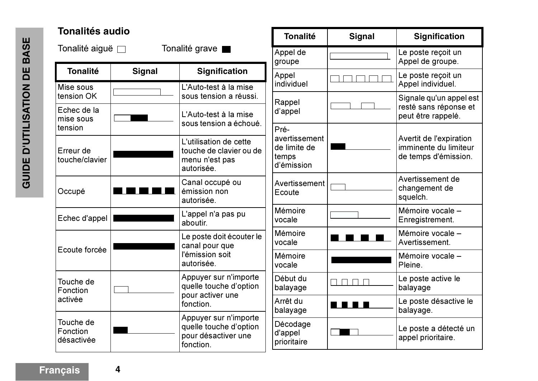| Tonalités audio                     |               |                                                                                     | <b>Tonalité</b>                     | <b>Signal</b> | <b>Signification</b>                          |
|-------------------------------------|---------------|-------------------------------------------------------------------------------------|-------------------------------------|---------------|-----------------------------------------------|
| Tonalité aiguë □                    |               | Tonalité grave                                                                      | Appel de<br>groupe                  |               | Le poste reçoit un<br>Appel de groupe.        |
| <b>Tonalité</b>                     | <b>Signal</b> | <b>Signification</b>                                                                | Appel                               |               | Le poste reçoit un                            |
| Mise sous<br>tension OK             |               | L'Auto-test à la mise<br>sous tension a réussi.                                     | individuel                          |               | Appel individuel.<br>Signale qu'un appel est  |
| Echec de la<br>mise sous            |               | L'Auto-test à la mise<br>sous tension a échoué.                                     | Rappel<br>d'appel                   |               | resté sans réponse et<br>peut être rappelé.   |
| tension                             |               |                                                                                     | Pré-<br>avertissement               |               | Avertit de l'expiration                       |
| Erreur de<br>touche/clavier         |               | L'utilisation de cette<br>touche de clavier ou de<br>menu n'est pas<br>autorisée.   | de limite de<br>temps<br>d'émission |               | imminente du limiteur<br>de temps d'émission. |
| Occupé                              |               | Canal occupé ou<br>émission non<br>autorisée.                                       | Avertissement<br>Ecoute             |               | Avertissement de<br>changement de<br>squelch. |
| Echec d'appel                       |               | L'appel n'a pas pu<br>aboutir.                                                      | Mémoire<br>vocale                   |               | Mémoire vocale -<br>Enregistrement.           |
|                                     |               | Le poste doit écouter le<br>canal pour que<br>l'émission soit<br>autorisée.         | Mémoire<br>vocale                   |               | Mémoire vocale -<br>Avertissement.            |
| Ecoute forcée                       |               |                                                                                     | Mémoire<br>vocale                   |               | Mémoire vocale -<br>Pleine.                   |
| Touche de<br>Fonction               |               | Appuyer sur n'importe<br>quelle touche d'option<br>pour activer une<br>fonction.    | Début du<br>balayage                | ┓┍            | Le poste active le<br>balayage                |
| activée                             |               |                                                                                     | Arrêt du<br>balayage                | n di gi       | Le poste désactive le<br>balayage.            |
| Touche de<br>Fonction<br>désactivée |               | Appuyer sur n'importe<br>quelle touche d'option<br>pour désactiver une<br>fonction. | Décodage<br>d'appel<br>prioritaire  |               | Le poste a détecté un<br>appel prioritaire.   |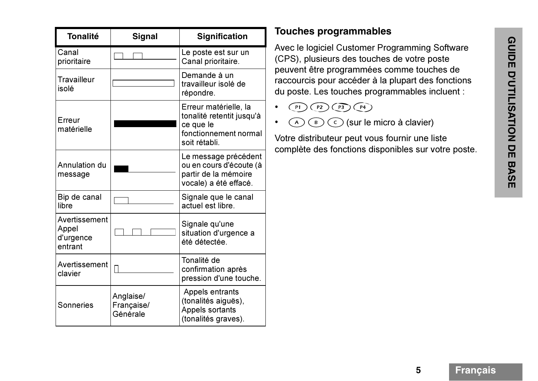| <b>Tonalité</b>                                | Signal                              | <b>Signification</b>                                                                                      |
|------------------------------------------------|-------------------------------------|-----------------------------------------------------------------------------------------------------------|
| Canal<br>prioritaire                           |                                     | Le poste est sur un<br>Canal prioritaire.                                                                 |
| <b>Travailleur</b><br>isolé                    |                                     | Demande à un<br>travailleur isolé de<br>répondre.                                                         |
| Erreur<br>matérielle                           |                                     | Erreur matérielle, la<br>tonalité retentit jusqu'à<br>ce que le<br>fonctionnement normal<br>soit rétabli. |
| Annulation du<br>message                       |                                     | Le message précédent<br>ou en cours d'écoute (à<br>partir de la mémoire<br>vocale) a été effacé.          |
| Bip de canal<br>libre                          |                                     | Signale que le canal<br>actuel est libre.                                                                 |
| Avertissement<br>Appel<br>d'urgence<br>entrant |                                     | Signale qu'une<br>situation d'urgence a<br>été détectée.                                                  |
| Avertissement<br>clavier                       |                                     | Tonalité de<br>confirmation après<br>pression d'une touche.                                               |
| Sonneries                                      | Anglaise/<br>Française/<br>Générale | Appels entrants<br>(tonalités aiguës),<br>Appels sortants<br>(tonalités graves).                          |

# **Touches programmables**

Avec le logiciel Customer Programming Software<br>
(CPS), plusieurs des touches de votre poste<br>
peuvent être programmées comme touches de<br>
raccourcis pour accéder à la plupart des fonctions<br>
du poste. Les touches programmable

- • $\lceil p_1 \rceil$  $\binom{P}{P}$  $\overline{P3}\overline{)P4}$
- • ${\sf A}$  $\left( \begin{array}{c} B \end{array} \right)$  $\circ$  (sur le micro à clavier)

Votre distributeur peut vous fournir une liste complète des fonctions disponibles sur votre poste.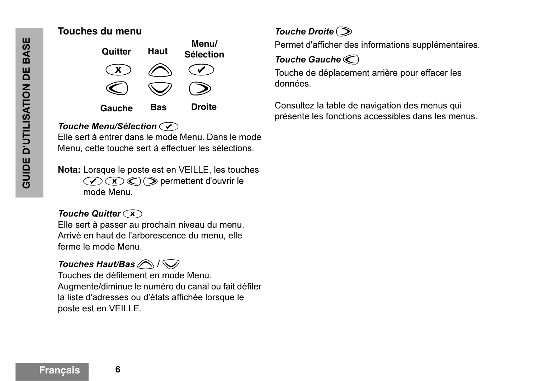#### **Touches du menu**



#### **Touche Menu/Sélection**

Elle sert à entrer dans le mode Menu. Dans le mode Menu, cette touche sert à effectuer les sélections.

**Nota:** Lorsque le poste est en VEILLE, les touches  $\mathcal{C}(\mathbf{X})\mathcal{C}(\mathbf{X})$  permettent d'ouvrir le mode Menu.

#### *Touche Quitter*  $\widehat{(\mathbf{x})}$

Elle sert à passer au prochain niveau du menu. Arrivé en haut de l'arborescence du menu, elle ferme le mode Menu.

# *Touches Haut/Bas*  $\bigcirc$  /  $\bigcirc$

Touches de défilement en mode Menu.Augmente/diminue le numéro du canal ou fait défiler la liste d'adresses ou d'états affichée lorsque le poste est en VEILLE.

# *Touche Droite*  $\odot$

Permet d'afficher des informations supplémentaires.

#### *Touche Gauche*  $\odot$

Touche de déplacement arrière pour effacer les données.

Consultez la table de navigation des menus qui présente les fonctions accessibles dans les menus.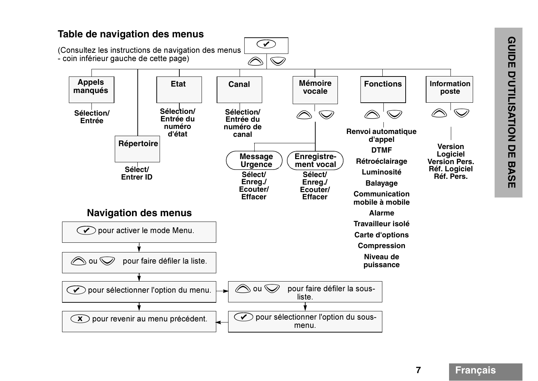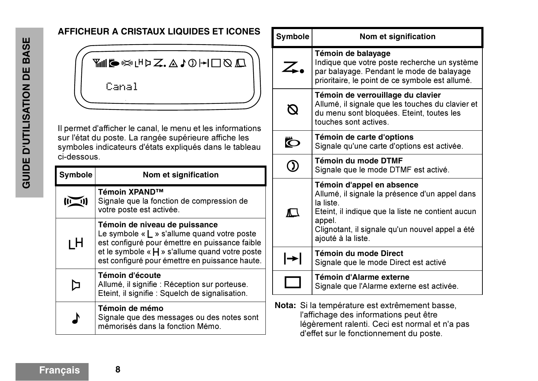#### **AFFICHEUR A CRISTAUX LIQUIDES ET ICONES**



Il permet d'afficher le canal, le menu et les informations sur l'état du poste. La rangée supérieure affiche les symboles indicateurs d'états expliqués dans le tableau ci-dessous.

| <b>Symbole</b> | Nom et signification                                                                                                                                                                                                                            |
|----------------|-------------------------------------------------------------------------------------------------------------------------------------------------------------------------------------------------------------------------------------------------|
|                | Témoin XPAND™<br>Signale que la fonction de compression de<br>votre poste est activée.                                                                                                                                                          |
| ιH             | Témoin de niveau de puissance<br>Le symbole « $\mathsf{L}$ » s'allume quand votre poste<br>est configuré pour émettre en puissance faible<br>et le symbole « $H$ » s'allume quand votre poste<br>est configuré pour émettre en puissance haute. |
|                | Témoin d'écoute<br>Allumé, il signifie : Réception sur porteuse.<br>Eteint, il signifie : Squelch de signalisation.                                                                                                                             |
|                | Témoin de mémo<br>Signale que des messages ou des notes sont<br>mémorisés dans la fonction Mémo.                                                                                                                                                |

| <b>Symbole</b> | Nom et signification                                                                                                                                                                                                             |
|----------------|----------------------------------------------------------------------------------------------------------------------------------------------------------------------------------------------------------------------------------|
| $\angle$       | Témoin de balayage<br>Indique que votre poste recherche un système<br>par balayage. Pendant le mode de balayage<br>prioritaire, le point de ce symbole est allumé.                                                               |
|                | Témoin de verrouillage du clavier<br>Allumé, il signale que les touches du clavier et<br>du menu sont bloquées. Eteint, toutes les<br>touches sont actives.                                                                      |
|                | Témoin de carte d'options<br>Signale qu'une carte d'options est activée.                                                                                                                                                         |
|                | Témoin du mode DTMF<br>Signale que le mode DTMF est activé.                                                                                                                                                                      |
| ∧ \            | Témoin d'appel en absence<br>Allumé, il signale la présence d'un appel dans<br>la liste.<br>Eteint, il indique que la liste ne contient aucun<br>appel.<br>Clignotant, il signale qu'un nouvel appel a été<br>ajouté à la liste. |
| ┡              | <b>Témoin du mode Direct</b><br>Signale que le mode Direct est activé                                                                                                                                                            |
|                | <b>Témoin d'Alarme externe</b><br>Signale que l'Alarme externe est activée.                                                                                                                                                      |

**Nota:** Si la température est extrêmement basse, l'affichage des informations peut être légèrement ralenti. Ceci est normal et n'a pas d'effet sur le fonctionnement du poste.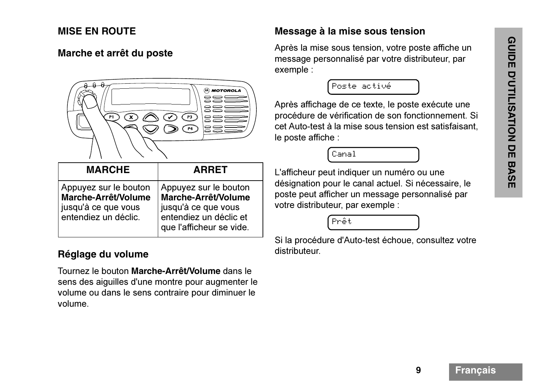#### **MISE EN ROUTE**



| <b>MARCHE</b>                                                                               | <b>ARRET</b>                                                                                                              |
|---------------------------------------------------------------------------------------------|---------------------------------------------------------------------------------------------------------------------------|
| Appuyez sur le bouton<br>Marche-Arrêt/Volume<br>jusqu'à ce que vous<br>entendiez un déclic. | Appuyez sur le bouton<br>Marche-Arrêt/Volume<br>jusqu'à ce que vous<br>entendiez un déclic et<br>que l'afficheur se vide. |

#### **Réglage du volume**

Tournez le bouton **Marche-Arrêt/Volume** dans le sens des aiguilles d'une montre pour augmenter le volume ou dans le sens contraire pour diminuer le volume.

#### **Message à la mise sous tension**

Après la mise sous tension, votre poste affiche un message personnalisé par votre distributeur, par exemple :

Poste activé

Après affichage de ce texte, le poste exécute une procédure de vérification de son fonctionnement. Si cet Auto-test à la mise sous tension est satisfaisant, le poste affiche :



L'afficheur peut indiquer un numéro ou une désignation pour le canal actuel. Si nécessaire, le poste peut afficher un message personnalisé par votre distributeur, par exemple :



Si la procédure d'Auto-test échoue, consultez votre distributeur.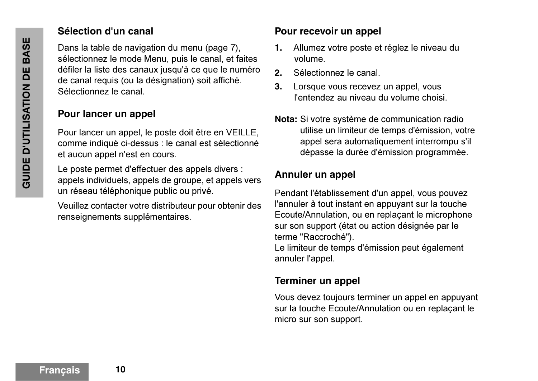#### **Sélection d'un canal**

Dans la table de navigation du menu (page 7), sélectionnez le mode Menu, puis le canal, et faites défiler la liste des canaux jusqu'à ce que le numéro de canal requis (ou la désignation) soit affiché. Sélectionnez le canal.

## **Pour lancer un appel**

Pour lancer un appel, le poste doit être en VEILLE, comme indiqué ci-dessus : le canal est sélectionné et aucun appel n'est en cours.

Le poste permet d'effectuer des appels divers : appels individuels, appels de groupe, et appels vers un réseau téléphonique public ou privé.

Veuillez contacter votre distributeur pour obtenir des renseignements supplémentaires.

#### **Pour recevoir un appel**

- **1.** Allumez votre poste et réglez le niveau du volume.
- **2.**Sélectionnez le canal.
- **3.** Lorsque vous recevez un appel, vous l'entendez au niveau du volume choisi.
- **Nota:** Si votre système de communication radio utilise un limiteur de temps d'émission, votre appel sera automatiquement interrompu s'il dépasse la durée d'émission programmée.

#### **Annuler un appel**

Pendant l'établissement d'un appel, vous pouvez l'annuler à tout instant en appuyant sur la touche Ecoute/Annulation, ou en replaçant le microphone sur son support (état ou action désignée par le terme "Raccroché").

Le limiteur de temps d'émission peut également annuler l'appel.

## **Terminer un appel**

Vous devez toujours terminer un appel en appuyant sur la touche Ecoute/Annulation ou en replaçant le micro sur son support.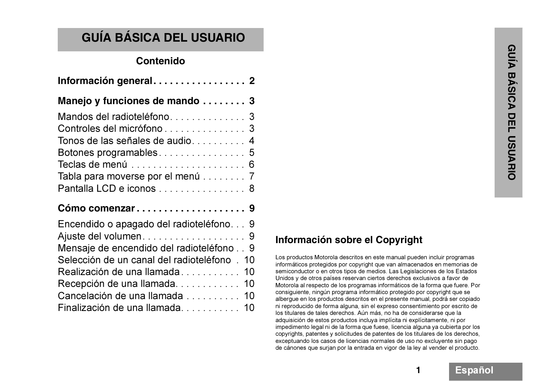# **GUÍA BÁSICA DEL USUARIO**

| <b>Contenido</b>                 |  |        |
|----------------------------------|--|--------|
|                                  |  |        |
| Manejo y funciones de mando  3   |  |        |
|                                  |  |        |
|                                  |  |        |
| Tonos de las señales de audio 4  |  |        |
|                                  |  |        |
|                                  |  | )<br>卫 |
| Tabla para moverse por el menú 7 |  |        |
| Pantalla LCD e iconos 8          |  |        |
|                                  |  |        |

#### **Cómo comenzar . . . . . . . . . . . . . . . . . . . . 9**

| Encendido o apagado del radioteléfono 9     |  |
|---------------------------------------------|--|
|                                             |  |
| Mensaje de encendido del radioteléfono9     |  |
| Selección de un canal del radioteléfono. 10 |  |
| Realización de una llamada 10               |  |
| Recepción de una llamada 10                 |  |
| Cancelación de una llamada 10               |  |
| Finalización de una llamada 10              |  |

# **Información sobre el Copyright**

Los productos Motorola descritos en este manual pueden incluir programas informáticos protegidos por copyright que van almacenados en memorias de semiconductor o en otros tipos de medios. Las Legislaciones de los Estados Unidos y de otros países reservan ciertos derechos exclusivos a favor de Motorola al respecto de los programas informáticos de la forma que fuere. Por consiguiente, ningún programa informático protegido por copyright que se albergue en los productos descritos en el presente manual, podrá ser copiado ni reproducido de forma alguna, sin el expreso consentimiento por escrito de los titulares de tales derechos. Aún más, no ha de considerarse que la adquisición de estos productos incluya implícita ni explícitamente, ni por impedimento legal ni de la forma que fuese, licencia alguna ya cubierta por los copyrights, patentes y solicitudes de patentes de los titulares de los derechos, exceptuando los casos de licencias normales de uso no excluyente sin pago de cánones que surjan por la entrada en vigor de la ley al vender el producto.

**1**

Español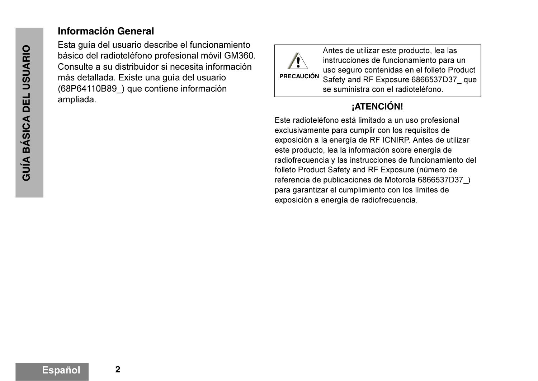#### **Información General**

Esta guía del usuario describe el funcionamiento básico del radioteléfono profesional móvil GM360. Consulte a su distribuidor si necesita información más detallada. Existe una guía del usuario (68P64110B89\_) que contiene información ampliada.<br> **External de la contrada de la contrada de la contrada de la contrada de la contrada de la contrada de la contrada de la contrada de la contrada de la contrada de la contrada de la contrada de la contrada de la** 



Antes de utilizar este producto, lea las instrucciones de funcionamiento para un uso seguro contenidas en el folleto Product Safety and RF Exposure 6866537D37\_ que se suministra con el radioteléfono.

Este radioteléfono está limitado a un uso profesional exclusivamente para cumplir con los requisitos de exposición a la energía de RF ICNIRP. Antes de utilizar este producto, lea la información sobre energía de radiofrecuencia y las instrucciones de funcionamiento del folleto Product Safety and RF Exposure (número de referencia de publicaciones de Motorola 6866537D37\_) para garantizar el cumplimiento con los límites de exposición a energía de radiofrecuencia.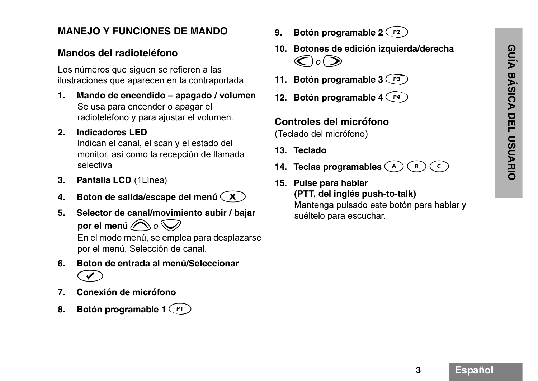#### **MANEJO Y FUNCIONES DE MANDO**

#### **Mandos del radioteléfono**

Los números que siguen se refieren a las ilustraciones que aparecen en la contraportada.

**1. Mando de encendido – apagado / volumen**  Se usa para encender o apagar el radioteléfono y para ajustar el volumen.

#### **2. Indicadores LED**

Indican el canal, el scan y el estado del monitor, así como la recepción de llamada selectiva

- **3. Pantalla LCD** (1Línea)
- **4. Boton de salida/escape del menú**  x
- **5. Selector de canal/movimiento subir / bajar**  por el menú $\bigcirc \!\!\!\! \bigcirc \!\!\!\! \circ \bigcirc \!\!\!\! \bigcirc$

En el modo menú, se emplea para desplazarse por el menú. Selección de canal.

- **6. Boton de entrada al menú/Seleccionar**  $\bigodot$
- **7. Conexión de micrófono**
- **8.** Botón programable 1 (P1)
- 9. Botón programable 2 <sup>(P2)</sup>
- **10. Botones de edición izquierda/derecha**   $\bigcirc$ *o* $\bigcirc$
- **11. Botón programable 3** <sup>P3</sup>
- **12. Botón programable 4**  $\widehat{P^4}$

#### **Controles del micrófono**

(Teclado del micrófono)

- **13. Teclado**
- **14. Teclas programables**  {  $\bf{B}$  $\mathsf{C}$
- **15. Pulse para hablar (PTT, del inglés push-to-talk)** Mantenga pulsado este botón para hablar y suéltelo para escuchar.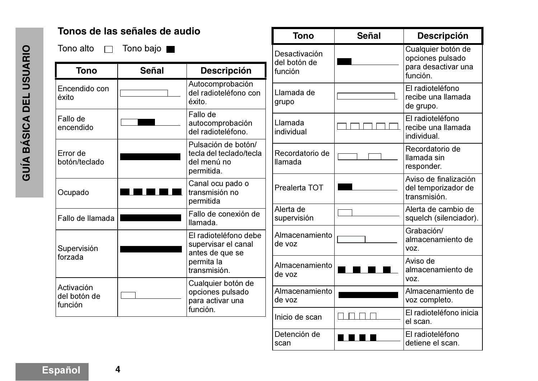|                                       | Tonos de las señales de audio      |                                                                             | <b>Tono</b>                              | <b>Señal</b>     | <b>Descripción</b>                                                        |
|---------------------------------------|------------------------------------|-----------------------------------------------------------------------------|------------------------------------------|------------------|---------------------------------------------------------------------------|
| Tono alto<br><b>Tono</b>              | Tono bajo <b> </b><br><b>Señal</b> | <b>Descripción</b>                                                          | Desactivación<br>del botón de<br>función |                  | Cualquier botón de<br>opciones pulsado<br>para desactivar una<br>función. |
| Encendido con<br>éxito                |                                    | Autocomprobación<br>del radioteléfono con<br>éxito.                         | Llamada de<br>grupo                      |                  | El radioteléfono<br>recibe una llamada<br>de grupo.                       |
| Fallo de<br>encendido                 |                                    | Fallo de<br>autocomprobación<br>del radioteléfono.                          | Llamada<br>individual                    |                  | El radioteléfono<br>recibe una llamada<br>individual.                     |
| Error de<br>botón/teclado             |                                    | Pulsación de botón/<br>tecla del teclado/tecla<br>del menú no<br>permitida. | Recordatorio de<br><b>Ilamada</b>        |                  | Recordatorio de<br>Ilamada sin<br>responder.                              |
| Ocupado                               |                                    | Canal ocu pado o<br>transmisión no<br>permitida                             | Prealerta TOT                            |                  | Aviso de finalización<br>del temporizador de<br>transmisión.              |
| Fallo de llamada                      |                                    | Fallo de conexión de<br>llamada.                                            | Alerta de<br>supervisión                 |                  | Alerta de cambio de<br>squelch (silenciador).                             |
| Supervisión                           |                                    | El radioteléfono debe<br>supervisar el canal<br>antes de que se             | Almacenamiento<br>de voz                 |                  | Grabación/<br>almacenamiento de<br>VOZ.                                   |
| forzada                               |                                    | permita la<br>transmisión.                                                  | Almacenamiento<br>de voz                 |                  | Aviso de<br>almacenamiento de<br>VOZ.                                     |
| Activación<br>del botón de<br>función |                                    | Cualquier botón de<br>opciones pulsado<br>para activar una                  | Almacenamiento<br>de voz                 |                  | Almacenamiento de<br>voz completo.                                        |
|                                       |                                    | función.                                                                    | Inicio de scan                           | $\Box$<br>$\Box$ | El radioteléfono inicia<br>el scan.                                       |
|                                       |                                    |                                                                             | Detención de<br>scan                     |                  | El radioteléfono<br>detiene el scan.                                      |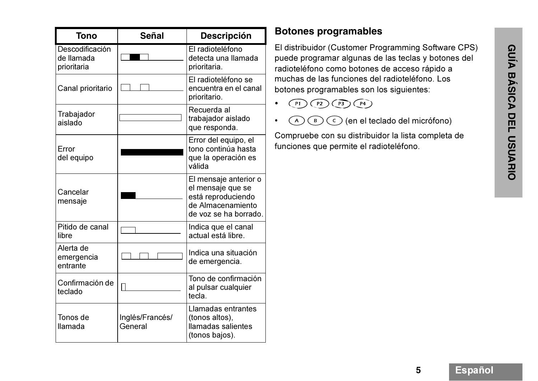| <b>Tono</b>                                  | <b>Señal</b>               | <b>Descripción</b>                                                                                             |
|----------------------------------------------|----------------------------|----------------------------------------------------------------------------------------------------------------|
| Descodificación<br>de llamada<br>prioritaria |                            | El radioteléfono<br>detecta una llamada<br>prioritaria.                                                        |
| Canal prioritario                            |                            | El radioteléfono se<br>encuentra en el canal<br>prioritario.                                                   |
| Trabajador<br>aislado                        |                            | Recuerda al<br>trabajador aislado<br>que responda.                                                             |
| Error<br>del equipo                          |                            | Error del equipo, el<br>tono continúa hasta<br>que la operación es<br>válida                                   |
| Cancelar<br>mensaje                          |                            | El mensaje anterior o<br>el mensaje que se<br>está reproduciendo<br>de Almacenamiento<br>de voz se ha borrado. |
| Pitido de canal<br>libre                     |                            | Indica que el canal<br>actual está libre.                                                                      |
| Alerta de<br>emergencia<br>entrante          |                            | Indica una situación<br>de emergencia.                                                                         |
| Confirmación de<br>teclado                   |                            | Tono de confirmación<br>al pulsar cualquier<br>tecla.                                                          |
| Tonos de<br>llamada                          | Inglés/Francés/<br>General | Llamadas entrantes<br>(tonos altos),<br>llamadas salientes<br>(tonos bajos).                                   |

## **Botones programables**

El distribuidor (Customer Programming Software CPS) puede programar algunas de las teclas y botones del radioteléfono como botones de acceso rápido a muchas de las funciones del radioteléfono. Los botones programables son los siguientes:

- • $P1)$  $(P2)$  $(P3)$  $(P4)$
- • $(A)$  (B)  $(C)$  (en el teclado del micrófono)

Compruebe con su distribuidor la lista completa de funciones que permite el radioteléfono.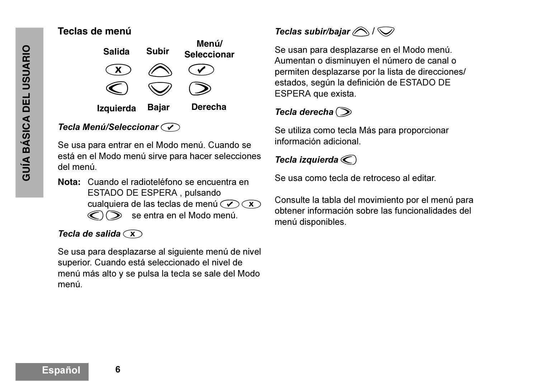#### **Teclas de menú**



#### *Tecla Menú/Seleccionar*  $\odot$

Se usa para entrar en el Modo menú. Cuando se está en el Modo menú sirve para hacer selecciones del menú.

**Nota:** Cuando el radioteléfono se encuentra en ESTADO DE ESPERA , pulsando cualquiera de las teclas de menú  $\mathcal{O}(\mathbf{x})$  $\mathcal{O}(\mathcal{D})$  se entra en el Modo menú.

#### *Tecla de salida* $\widehat{\left(\mathbf{x}\right)}$

Se usa para desplazarse al siguiente menú de nivel superior. Cuando está seleccionado el nivel de menú más alto y se pulsa la tecla se sale del Modo menú.

# *Teclas subir/bajar*  $\bigcirc$  /  $\bigcirc$

Se usan para desplazarse en el Modo menú. Aumentan o disminuyen el número de canal o permiten desplazarse por la lista de direcciones/ estados, según la definición de ESTADO DE ESPERA que exista.

#### $Tecla$  derecha $\odot$

Se utiliza como tecla Más para proporcionar información adicional.

#### *Tecla izquierda* $\textcircled{c}$

Se usa como tecla de retroceso al editar.

Consulte la tabla del movimiento por el menú para obtener información sobre las funcionalidades del menú disponibles.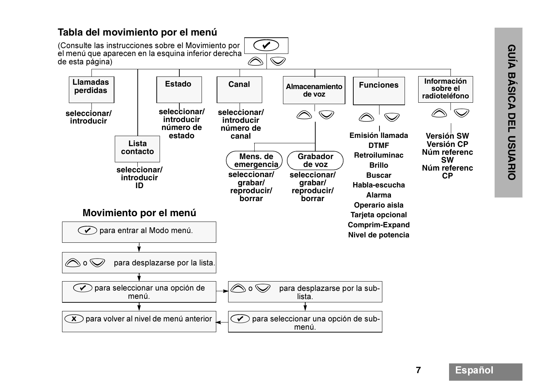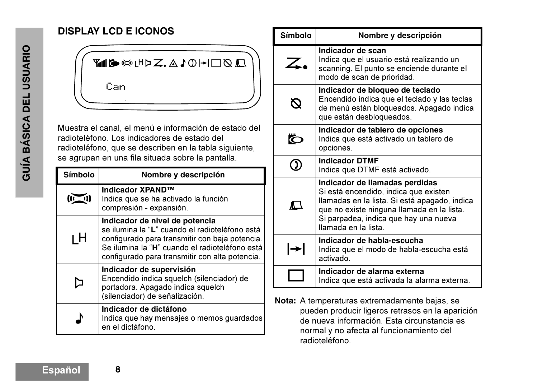# **DISPLAY LCD E ICONOS**

<del>M</del>ING DYPZ.AJOH□QA Can

Muestra el canal, el menú e información de estado del radioteléfono. Los indicadores de estado del radioteléfono, que se describen en la tabla siguiente, se agrupan en una fila situada sobre la pantalla.

| <b>Símbolo</b>                                                                                                                                                                                                                                | Nombre y descripción                                                                                                                         |  |
|-----------------------------------------------------------------------------------------------------------------------------------------------------------------------------------------------------------------------------------------------|----------------------------------------------------------------------------------------------------------------------------------------------|--|
|                                                                                                                                                                                                                                               | <b>Indicador XPAND™</b><br>Indica que se ha activado la función<br>compresión - expansión.                                                   |  |
| Indicador de nivel de potencia<br>se ilumina la "L" cuando el radioteléfono está<br>ı H<br>configurado para transmitir con baja potencia.<br>Se ilumina la "H" cuando el radioteléfono está<br>configurado para transmitir con alta potencia. |                                                                                                                                              |  |
|                                                                                                                                                                                                                                               | Indicador de supervisión<br>Encendido indica squelch (silenciador) de<br>portadora. Apagado indica squelch<br>(silenciador) de señalización. |  |
|                                                                                                                                                                                                                                               | Indicador de dictáfono<br>Indica que hay mensajes o memos guardados<br>en el dictáfono.                                                      |  |

| <b>Símbolo</b> | Nombre y descripción                                                                                                                                                                                                                    |  |
|----------------|-----------------------------------------------------------------------------------------------------------------------------------------------------------------------------------------------------------------------------------------|--|
| $\angle$       | Indicador de scan<br>Indica que el usuario está realizando un<br>scanning. El punto se enciende durante el<br>modo de scan de prioridad.                                                                                                |  |
|                | Indicador de bloqueo de teclado<br>Encendido indica que el teclado y las teclas<br>de menú están bloqueados. Apagado indica<br>que están desbloqueados.                                                                                 |  |
|                | Indicador de tablero de opciones<br>Indica que está activado un tablero de<br>opciones.                                                                                                                                                 |  |
|                | <b>Indicador DTMF</b><br>Indica que DTMF está activado.                                                                                                                                                                                 |  |
| m.             | Indicador de llamadas perdidas<br>Si está encendido, indica que existen<br>llamadas en la lista. Si está apagado, indica<br>que no existe ninguna llamada en la lista.<br>Si parpadea, indica que hay una nueva<br>llamada en la lista. |  |
|                | Indicador de habla-escucha<br>Indica que el modo de habla-escucha está<br>activado.                                                                                                                                                     |  |
|                | Indicador de alarma externa<br>Indica que está activada la alarma externa.                                                                                                                                                              |  |

**Nota:** A temperaturas extremadamente bajas, se pueden producir ligeros retrasos en la aparición de nueva información. Esta circunstancia es normal y no afecta al funcionamiento del radioteléfono.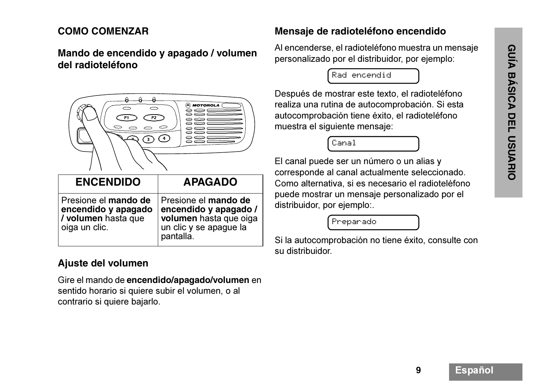#### **COMO COMENZAR**

#### **Mando de encendido y apagado / volumen del radioteléfono**



| <b>ENCENDIDO</b>                                                                    | <b>APAGADO</b>                                                                                                 |
|-------------------------------------------------------------------------------------|----------------------------------------------------------------------------------------------------------------|
| Presione el mando de<br>encendido y apagado<br>/ volumen hasta que<br>oiga un clic. | Presione el mando de<br>encendido y apagado /<br>volumen hasta que oiga<br>un clic y se apague la<br>pantalla. |

#### **Ajuste del volumen**

Gire el mando de **encendido/apagado/volumen** en sentido horario si quiere subir el volumen, o al contrario si quiere bajarlo.

#### **Mensaje de radioteléfono encendido**

Al encenderse, el radioteléfono muestra un mensaje personalizado por el distribuidor, por ejemplo:

Rad encendid

Después de mostrar este texto, el radioteléfono realiza una rutina de autocomprobación. Si esta autocomprobación tiene éxito, el radioteléfono muestra el siguiente mensaje:

Canal

El canal puede ser un número o un alias y corresponde al canal actualmente seleccionado. Como alternativa, si es necesario el radioteléfono puede mostrar un mensaje personalizado por el distribuidor, por ejemplo:.

Preparado

Si la autocomprobación no tiene éxito, consulte con su distribuidor.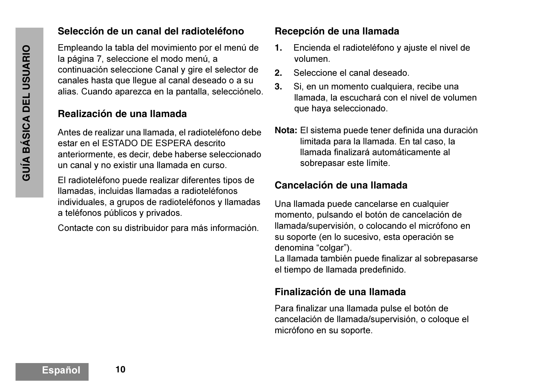#### **Selección de un canal del radioteléfono**

Empleando la tabla del movimiento por el menú de la página 7, seleccione el modo menú, a continuación seleccione Canal y gire el selector de canales hasta que llegue al canal deseado o a su alias. Cuando aparezca en la pantalla, selecciónelo.

#### **Realización de una llamada**

Antes de realizar una llamada, el radioteléfono debe estar en el ESTADO DE ESPERA descrito anteriormente, es decir, debe haberse seleccionado un canal y no existir una llamada en curso.

El radioteléfono puede realizar diferentes tipos de llamadas, incluidas llamadas a radioteléfonos individuales, a grupos de radioteléfonos y llamadas a teléfonos públicos y privados.

Contacte con su distribuidor para más información.

#### **Recepción de una llamada**

- **1.** Encienda el radioteléfono y ajuste el nivel de volumen.
- **2.**Seleccione el canal deseado.
- **3.** Si, en un momento cualquiera, recibe una llamada, la escuchará con el nivel de volumen que haya seleccionado.
- **Nota:** El sistema puede tener definida una duración limitada para la llamada. En tal caso, la llamada finalizará automáticamente al sobrepasar este límite.

#### **Cancelación de una llamada**

Una llamada puede cancelarse en cualquier momento, pulsando el botón de cancelación de llamada/supervisión, o colocando el micrófono en su soporte (en lo sucesivo, esta operación se denomina "colgar"). La llamada también puede finalizar al sobrepasarse el tiempo de llamada predefinido.

#### **Finalización de una llamada**

Para finalizar una llamada pulse el botón de cancelación de llamada/supervisión, o coloque el micrófono en su soporte.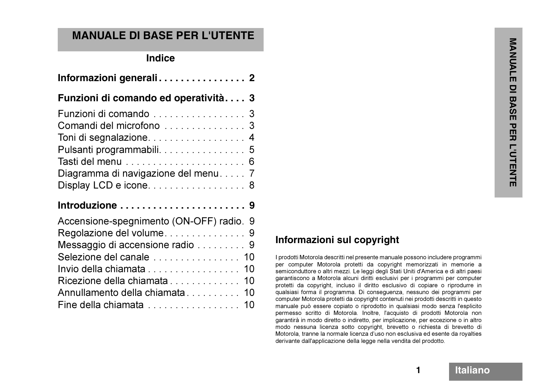# **MANUALE DI BASE PER L'UTENTE**

| <b>Indice</b>                                                                                                                                                        |                                                                                                                                                                                                                                                                                                                                                                                                                                                                                                                                                                                                                                                                                                | NANDA                                                   |
|----------------------------------------------------------------------------------------------------------------------------------------------------------------------|------------------------------------------------------------------------------------------------------------------------------------------------------------------------------------------------------------------------------------------------------------------------------------------------------------------------------------------------------------------------------------------------------------------------------------------------------------------------------------------------------------------------------------------------------------------------------------------------------------------------------------------------------------------------------------------------|---------------------------------------------------------|
|                                                                                                                                                                      |                                                                                                                                                                                                                                                                                                                                                                                                                                                                                                                                                                                                                                                                                                | ш                                                       |
| Funzioni di comando ed operatività 3                                                                                                                                 |                                                                                                                                                                                                                                                                                                                                                                                                                                                                                                                                                                                                                                                                                                | $\overline{\mathsf{C}}$                                 |
| Funzioni di comando 3<br>Toni di segnalazione 4<br>Pulsanti programmabili 5<br>Diagramma di navigazione del menu 7<br>Display LCD e icone 8                          |                                                                                                                                                                                                                                                                                                                                                                                                                                                                                                                                                                                                                                                                                                | <b>BASI</b><br>E<br>᠊ण<br>ш<br>ᄀ<br><b>L'OTENT</b><br>m |
| Introduzione  9                                                                                                                                                      |                                                                                                                                                                                                                                                                                                                                                                                                                                                                                                                                                                                                                                                                                                |                                                         |
| Accensione-spegnimento (ON-OFF) radio. 9<br>Messaggio di accensione radio 9<br>Selezione del canale  10<br>Invio della chiamata 10<br>Annullamento della chiamata 10 | Informazioni sul copyright<br>I prodotti Motorola descritti nel presente manuale possono includere programmi<br>per computer Motorola protetti da copyright memorizzati in memorie a<br>semiconduttore o altri mezzi. Le leggi degli Stati Uniti d'America e di altri paesi<br>garantiscono a Motorola alcuni diritti esclusivi per i programmi per computer<br>protetti da copyright, incluso il diritto esclusivo di copiare o riprodurre in<br>qualsiasi forma il programma. Di conseguenza, nessuno dei programmi per<br>computer Motorola protetti da copyright contenuti nei prodotti descritti in questo<br>manuale può essere copiato o riprodotto in qualsiasi modo senza l'esplicito |                                                         |

# **Informazioni sul copyright**

I prodotti Motorola descritti nel presente manuale possono includere programmi per computer Motorola protetti da copyright memorizzati in memorie a semiconduttore o altri mezzi. Le leggi degli Stati Uniti d'America e di altri paesi garantiscono a Motorola alcuni diritti esclusivi per i programmi per computer protetti da copyright, incluso il diritto esclusivo di copiare o riprodurre in qualsiasi forma il programma. Di conseguenza, nessuno dei programmi per computer Motorola protetti da copyright contenuti nei prodotti descritti in questo manuale può essere copiato o riprodotto in qualsiasi modo senza l'esplicito permesso scritto di Motorola. Inoltre, l'acquisto di prodotti Motorola non garantirà in modo diretto o indiretto, per implicazione, per eccezione o in altro modo nessuna licenza sotto copyright, brevetto o richiesta di brevetto di Motorola, tranne la normale licenza d'uso non esclusiva ed esente da royalties derivante dall'applicazione della legge nella vendita del prodotto.

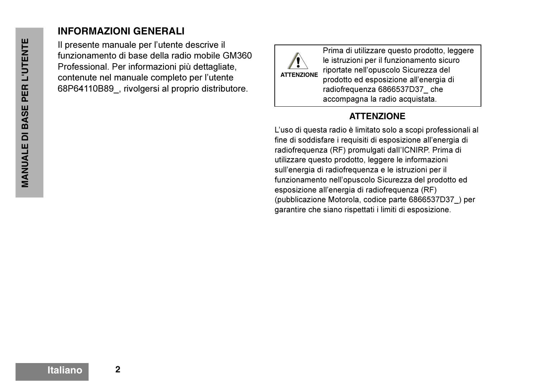#### **INFORMAZIONI GENERALI**

Il presente manuale per l'utente descrive il funzionamento di base della radio mobile GM360 Professional. Per informazioni più dettagliate, contenute nel manuale completo per l'utente 68P64110B89\_, rivolgersi al proprio distributore.



Prima di utilizzare questo prodotto, leggere le istruzioni per il funzionamento sicuro riportate nell'opuscolo Sicurezza del prodotto ed esposizione all'energia di radiofrequenza 6866537D37\_ che accompagna la radio acquistata.

#### **ATTENZIONE**

L'uso di questa radio è limitato solo a scopi professionali al fine di soddisfare i requisiti di esposizione all'energia di radiofrequenza (RF) promulgati dalI'ICNIRP. Prima di utilizzare questo prodotto, leggere le informazioni sull'energia di radiofrequenza e le istruzioni per il funzionamento nell'opuscolo Sicurezza del prodotto ed esposizione all'energia di radiofrequenza (RF) (pubblicazione Motorola, codice parte 6866537D37\_) per garantire che siano rispettati i limiti di esposizione.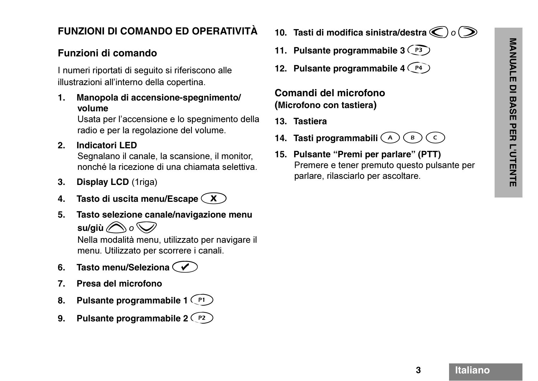## **FUNZIONI DI COMANDO ED OPERATIVITÀ**

#### **Funzioni di comando**

I numeri riportati di seguito si riferiscono alle illustrazioni all'interno della copertina.

**1. Manopola di accensione-spegnimento/ volume**

> Usata per l'accensione e lo spegnimento della radio e per la regolazione del volume.

**2. Indicatori LED** 

Segnalano il canale, la scansione, il monitor, nonché la ricezione di una chiamata selettiva.

- **3. Display LCD** (1riga)
- **4. Tasto di uscita menu/Escape**  x
- **5. Tasto selezione canale/navigazione menu**   $\mathsf{s}$ u/giù  $\bigcirc$  o  $\bigcirc$

Nella modalità menu, utilizzato per navigare il menu. Utilizzato per scorrere i canali.

- **6. Tasto menu/Seleziona**  c
- **7. Presa del microfono**
- **8.** Pulsante programmabile 1 (PI)
- **9. Pulsante programmabile 2**  h
- 10. Tasti di modifica sinistra/destra  $\bigcirc \!\!\!\! \bigcirc \!\!\!\! \bigcirc \bigcirc$
- 11. Pulsante programmabile 3 <sup>(P3</sup>)
- 12. Pulsante programmabile 4 <sup>(P4</sup>)

#### **Comandi del microfono (Microfono con tastiera)**

- **13. Tastiera**
- **14. Tasti programmabili**  {  $\overline{B}$  $\mathsf{C}$
- **15. Pulsante "Premi per parlare" (PTT)** Premere e tener premuto questo pulsante per parlare, rilasciarlo per ascoltare.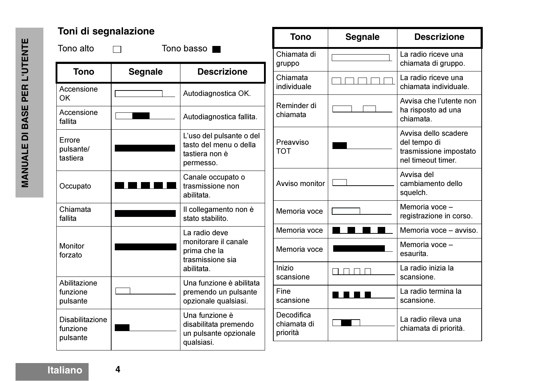| Toni di segnalazione                           |                | <b>Tono</b>                                                                       | <b>Segnale</b>                        | <b>Descrizione</b> |                                                                                      |
|------------------------------------------------|----------------|-----------------------------------------------------------------------------------|---------------------------------------|--------------------|--------------------------------------------------------------------------------------|
| Tono alto                                      |                | Tono basso                                                                        | Chiamata di<br>gruppo                 |                    | La radio riceve una<br>chiamata di gruppo.                                           |
| <b>Tono</b>                                    | <b>Segnale</b> | <b>Descrizione</b>                                                                | Chiamata                              |                    | La radio riceve una                                                                  |
| Accensione<br><b>OK</b>                        |                | Autodiagnostica OK.                                                               | individuale                           |                    | chiamata individuale.                                                                |
| Accensione<br>fallita                          |                | Autodiagnostica fallita.                                                          | Reminder di<br>chiamata               |                    | Avvisa che l'utente non<br>ha risposto ad una<br>chiamata.                           |
| Errore<br>pulsante/<br>tastiera                |                | L'uso del pulsante o del<br>tasto del menu o della<br>tastiera non è<br>permesso. | Preavviso<br><b>TOT</b>               |                    | Avvisa dello scadere<br>del tempo di<br>trasmissione impostato<br>nel timeout timer. |
| Occupato                                       |                | Canale occupato o<br>trasmissione non<br>abilitata.                               | Avviso monitor                        |                    | Avvisa del<br>cambiamento dello<br>squelch.                                          |
| Chiamata<br>fallita                            |                | Il collegamento non è<br>stato stabilito.                                         | Memoria voce                          |                    | Memoria voce -<br>registrazione in corso.                                            |
|                                                |                | La radio deve                                                                     | Memoria voce                          |                    | Memoria voce - avviso.                                                               |
| <b>Monitor</b><br>forzato                      |                | monitorare il canale<br>prima che la<br>trasmissione sia                          | Memoria voce                          |                    | Memoria voce -<br>esaurita.                                                          |
|                                                |                | abilitata.                                                                        | Inizio<br>scansione                   |                    | La radio inizia la<br>scansione.                                                     |
| Abilitazione<br>funzione<br>pulsante           |                | Una funzione è abilitata<br>premendo un pulsante<br>opzionale qualsiasi.          | Fine<br>scansione                     | <b>n din</b> 1     | La radio termina la<br>scansione.                                                    |
| <b>Disabilitazione</b><br>funzione<br>pulsante |                | Una funzione è<br>disabilitata premendo<br>un pulsante opzionale                  | Decodifica<br>chiamata di<br>priorità |                    | La radio rileva una<br>chiamata di priorità.                                         |
|                                                |                | qualsiasi.                                                                        |                                       |                    |                                                                                      |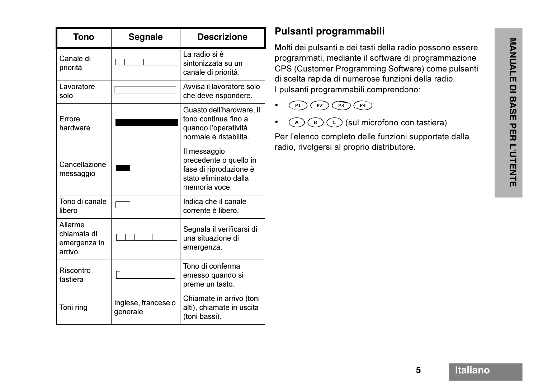| Tono                                             | <b>Segnale</b>                  | <b>Descrizione</b>                                                                                         |
|--------------------------------------------------|---------------------------------|------------------------------------------------------------------------------------------------------------|
| Canale di<br>priorità                            |                                 | La radio si è<br>sintonizzata su un<br>canale di priorità.                                                 |
| Lavoratore<br>solo                               |                                 | Avvisa il lavoratore solo<br>che deve rispondere.                                                          |
| Errore<br>hardware                               |                                 | Guasto dell'hardware, il<br>tono continua fino a<br>quando l'operatività<br>normale è ristabilita.         |
| Cancellazione<br>messaggio                       |                                 | Il messaggio<br>precedente o quello in<br>fase di riproduzione è<br>stato eliminato dalla<br>memoria voce. |
| Tono di canale<br>libero                         |                                 | Indica che il canale<br>corrente è libero.                                                                 |
| Allarme<br>chiamata di<br>emergenza in<br>arrivo |                                 | Segnala il verificarsi di<br>una situazione di<br>emergenza.                                               |
| Riscontro<br>tastiera                            |                                 | Tono di conferma<br>emesso quando si<br>preme un tasto.                                                    |
| Toni ring                                        | Inglese, francese o<br>generale | Chiamate in arrivo (toni<br>alti), chiamate in uscita<br>(toni bassi).                                     |

# **Pulsanti programmabili**

Molti dei pulsanti e dei tasti della radio possono essere<br>programmati, mediante il software di programmazione<br>CPS (Customer Programming Software) come pulsanti<br>di scelta rapida di numerose funzioni della radio.<br><br>Pulsanti p

- • $P1$  $(P2)$  $\overline{P3}\overline{P4}$
- • ${\mathsf A}$  $\bigcap_{B}$  $\circ$  (sul microfono con tastiera)

Per l'elenco completo delle funzioni supportate dalla radio, rivolgersi al proprio distributore.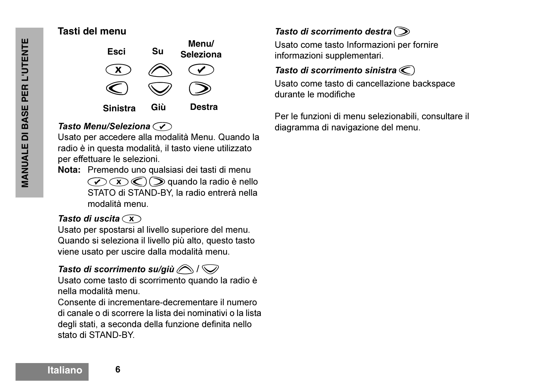#### **Tasti del menu**



#### *Tasto Menu/Seleziona*c

Usato per accedere alla modalità Menu. Quando la radio è in questa modalità, il tasto viene utilizzato per effettuare le selezioni.

**Nota:** Premendo uno qualsiasi dei tasti di menu  $\mathcal{C}(\mathcal{C})$   $\mathcal{D}(\mathcal{D})$  quando la radio è nello STATO di STAND-BY, la radio entrerà nella modalità menu.

#### Tasto di uscita  $\widehat{(\mathbf{x})}$

Usato per spostarsi al livello superiore del menu. Quando si seleziona il livello più alto, questo tasto viene usato per uscire dalla modalità menu.

#### *Tasto di scorrimento su/giù*  $\bigcirc$  /  $\bigcirc$

Usato come tasto di scorrimento quando la radio è nella modalità menu.

Consente di incrementare-decrementare il numero di canale o di scorrere la lista dei nominativi o la lista degli stati, a seconda della funzione definita nello stato di STAND-BY.

**Tasto di scorrimento destra**  $\odot$ 

Usato come tasto Informazioni per fornire informazioni supplementari.

#### *Tasto di scorrimento sinistra*  $\textcircled{c}$

Usato come tasto di cancellazione backspace durante le modifiche

Per le funzioni di menu selezionabili, consultare il diagramma di navigazione del menu.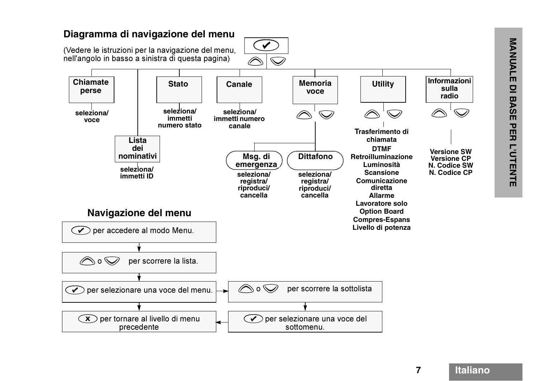

**7**

**Italiano**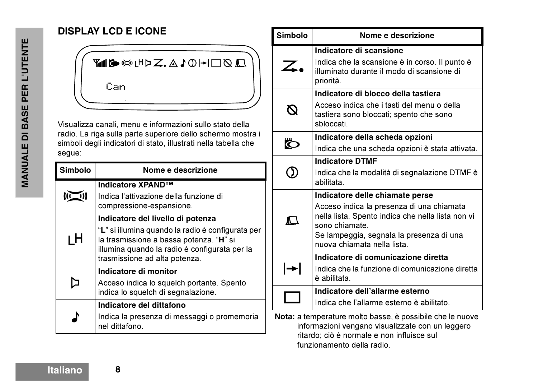| <b>DISPLAY LCD E ICONE</b> |  |
|----------------------------|--|
|----------------------------|--|

<del>M</del>ING ROLHDZ.AJOH□QQ Can

Visualizza canali, menu e informazioni sullo stato della radio. La riga sulla parte superiore dello schermo mostra i simboli degli indicatori di stato, illustrati nella tabella che segue:

| <b>Simbolo</b>                                                                                                                                                                                                            | Nome e descrizione                                                                        |  |  |
|---------------------------------------------------------------------------------------------------------------------------------------------------------------------------------------------------------------------------|-------------------------------------------------------------------------------------------|--|--|
|                                                                                                                                                                                                                           | Indicatore XPAND™<br>Indica l'attivazione della funzione di<br>compressione-espansione.   |  |  |
| Indicatore del livello di potenza<br>"L" si illumina quando la radio è configurata per<br>ιH<br>la trasmissione a bassa potenza. "H" si<br>illumina quando la radio è configurata per la<br>trasmissione ad alta potenza. |                                                                                           |  |  |
| Indicatore di monitor<br>Acceso indica lo squelch portante. Spento<br>indica lo squelch di segnalazione.                                                                                                                  |                                                                                           |  |  |
|                                                                                                                                                                                                                           | Indicatore del dittafono<br>Indica la presenza di messaggi o promemoria<br>nel dittafono. |  |  |

|                                      | <b>Simbolo</b>                                                                                                                                                                                                                           | Nome e descrizione                                                                                                                   |  |  |
|--------------------------------------|------------------------------------------------------------------------------------------------------------------------------------------------------------------------------------------------------------------------------------------|--------------------------------------------------------------------------------------------------------------------------------------|--|--|
|                                      | $\angle$ .                                                                                                                                                                                                                               | Indicatore di scansione<br>Indica che la scansione è in corso. Il punto è<br>illuminato durante il modo di scansione di<br>priorità. |  |  |
| sbloccati.                           |                                                                                                                                                                                                                                          | Indicatore di blocco della tastiera<br>Acceso indica che i tasti del menu o della<br>tastiera sono bloccati; spento che sono         |  |  |
|                                      | Ö                                                                                                                                                                                                                                        | Indicatore della scheda opzioni<br>Indica che una scheda opzioni è stata attivata.                                                   |  |  |
| <b>Indicatore DTMF</b><br>abilitata. |                                                                                                                                                                                                                                          | Indica che la modalità di segnalazione DTMF è                                                                                        |  |  |
|                                      | Indicatore delle chiamate perse<br>Acceso indica la presenza di una chiamata<br>nella lista. Spento indica che nella lista non vi<br>$\Box$<br>sono chiamate.<br>Se lampeggia, segnala la presenza di una<br>nuova chiamata nella lista. |                                                                                                                                      |  |  |
| l→l<br>è abilitata.                  |                                                                                                                                                                                                                                          | Indicatore di comunicazione diretta<br>Indica che la funzione di comunicazione diretta                                               |  |  |
|                                      |                                                                                                                                                                                                                                          | Indicatore dell'allarme esterno<br>Indica che l'allarme esterno è abilitato.                                                         |  |  |
|                                      | Nota: a temperature molto basse, è possibile che le nuove                                                                                                                                                                                |                                                                                                                                      |  |  |

informazioni vengano visualizzate con un leggero ritardo; ciò è normale e non influisce sul funzionamento della radio.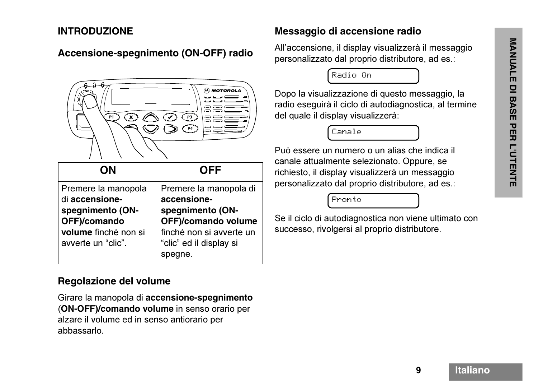#### **INTRODUZIONE**

#### **Accensione-spegnimento (ON-OFF) radio**



| <b>ON</b>                                                                                                               | <b>OFF</b>                                                                                                                                             |
|-------------------------------------------------------------------------------------------------------------------------|--------------------------------------------------------------------------------------------------------------------------------------------------------|
| Premere la manopola<br>di accensione-<br>spegnimento (ON-<br>OFF)/comando<br>volume finché non si<br>avverte un "clic". | Premere la manopola di<br>accensione-<br>spegnimento (ON-<br><b>OFF)/comando volume</b><br>finché non si avverte un<br>"clic" ed il display si<br>gne. |

#### **Regolazione del volume**

Girare la manopola di **accensione-spegnimento** (**ON-OFF)/comando volume** in senso orario per alzare il volume ed in senso antiorario per abbassarlo.

#### **Messaggio di accensione radio**

All'accensione, il display visualizzerà il messaggio personalizzato dal proprio distributore, ad es.:

Radio On

Dopo la visualizzazione di questo messaggio, la radio eseguirà il ciclo di autodiagnostica, al termine del quale il display visualizzerà:

Canale

Può essere un numero o un alias che indica il canale attualmente selezionato. Oppure, se richiesto, il display visualizzerà un messaggio personalizzato dal proprio distributore, ad es.:

Pronto

Se il ciclo di autodiagnostica non viene ultimato con successo, rivolgersi al proprio distributore.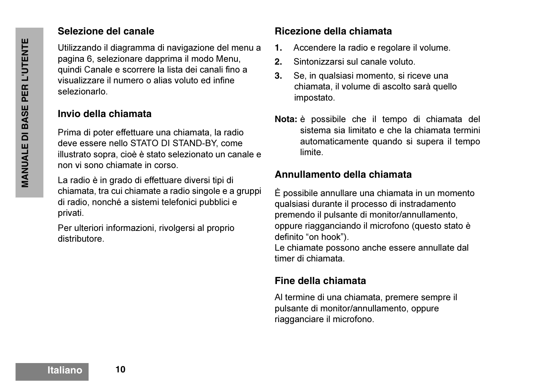#### **Selezione del canale**

Utilizzando il diagramma di navigazione del menu a pagina 6, selezionare dapprima il modo Menu, quindi Canale e scorrere la lista dei canali fino a visualizzare il numero o alias voluto ed infine selezionarlo.

#### **Invio della chiamata**

Prima di poter effettuare una chiamata, la radio deve essere nello STATO DI STAND-BY, come illustrato sopra, cioè è stato selezionato un canale e non vi sono chiamate in corso.

La radio è in grado di effettuare diversi tipi di chiamata, tra cui chiamate a radio singole e a gruppi di radio, nonché a sistemi telefonici pubblici e privati.

Per ulteriori informazioni, rivolgersi al proprio distributore.

#### **Ricezione della chiamata**

- **1.**Accendere la radio e regolare il volume.
- **2.**Sintonizzarsi sul canale voluto.
- **3.** Se, in qualsiasi momento, si riceve una chiamata, il volume di ascolto sarà quello impostato.
- **Nota:** è possibile che il tempo di chiamata del sistema sia limitato e che la chiamata terminiautomaticamente quando si supera il tempo limite.

#### **Annullamento della chiamata**

È possibile annullare una chiamata in un momento qualsiasi durante il processo di instradamento premendo il pulsante di monitor/annullamento, oppure riagganciando il microfono (questo stato è definito "on hook"). Le chiamate possono anche essere annullate dal

timer di chiamata.

## **Fine della chiamata**

Al termine di una chiamata, premere sempre il pulsante di monitor/annullamento, oppure riagganciare il microfono.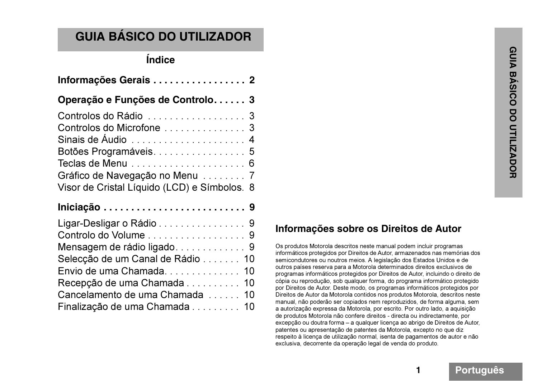# **GUIA BÁSICO DO UTILIZADOR**

# **Índice**

| Informações Gerais 2                                                                                           |
|----------------------------------------------------------------------------------------------------------------|
| Operação e Funções de Controlo 3                                                                               |
| Controlos do Rádio  3<br>Controlos do Microfone  3<br>Botões Programáveis. 5<br>Gráfico de Navegação no Menu 7 |
| Visor de Cristal Líquido (LCD) e Símbolos. 8                                                                   |
| Ligar-Desligar o Rádio 9<br>Controlo do Volume  9                                                              |
| Mensagem de rádio ligado 9<br>Selecção de um Canal de Rádio 10<br>Envio de uma Chamada<br>10                   |
| Recepção de uma Chamada 10<br>Cancelamento de uma Chamada 10<br>Finalização de uma Chamada 10                  |

#### **Informações sobre os Direitos de Autor**

Os produtos Motorola descritos neste manual podem incluir programas informáticos protegidos por Direitos de Autor, armazenados nas memórias dos semicondutores ou noutros meios. A legislação dos Estados Unidos e de outros países reserva para a Motorola determinados direitos exclusivos de programas informáticos protegidos por Direitos de Autor, incluindo o direito de cópia ou reprodução, sob qualquer forma, do programa informático protegido por Direitos de Autor. Deste modo, os programas informáticos protegidos por Direitos de Autor da Motorola contidos nos produtos Motorola, descritos neste manual, não poderão ser copiados nem reproduzidos, de forma alguma, sem a autorização expressa da Motorola, por escrito. Por outro lado, a aquisição de produtos Motorola não confere direitos - directa ou indirectamente, por excepção ou doutra forma – a qualquer licença ao abrigo de Direitos de Autor, patentes ou apresentação de patentes da Motorola, excepto no que diz respeito à licença de utilização normal, isenta de pagamentos de autor e não exclusiva, decorrente da operação legal de venda do produto.

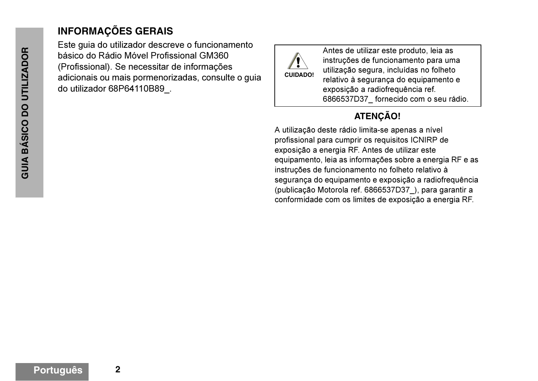# **INFORMAÇÕES GERAIS**

Este guia do utilizador descreve o funcionamento básico do Rádio Móvel Profissional GM360 (Profissional). Se necessitar de informações adicionais ou mais pormenorizadas, consulte o guia do utilizador 68P64110B89\_.



Antes de utilizar este produto, leia as instruções de funcionamento para uma utilização segura, incluídas no folheto relativo à segurança do equipamento e exposição a radiofrequência ref. 6866537D37\_ fornecido com o seu rádio.

# **ATENÇÃO!**

A utilização deste rádio limita-se apenas a nível profissional para cumprir os requisitos ICNIRP de exposição a energia RF. Antes de utilizar este equipamento, leia as informações sobre a energia RF e as instruções de funcionamento no folheto relativo à segurança do equipamento e exposição a radiofrequência (publicação Motorola ref. 6866537D37\_), para garantir a conformidade com os limites de exposição a energia RF.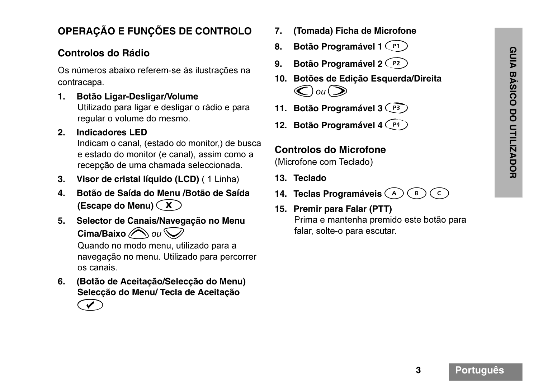# **OPERAÇÃO E FUNÇÕES DE CONTROLO**

#### **Controlos do Rádio**

Os números abaixo referem-se às ilustrações na contracapa.

**1. Botão Ligar-Desligar/Volume** Utilizado para ligar e desligar o rádio e para regular o volume do mesmo.

#### **2. Indicadores LED**

Indicam o canal, (estado do monitor,) de busca e estado do monitor (e canal), assim como a recepção de uma chamada seleccionada.

- **3. Visor de cristal líquido (LCD)** ( 1 Linha)
- **4. Botão de Saída do Menu /Botão de Saída (Escape do Menu)**  x
- **5. Selector de Canais/Navegação no Menu Cima/Baixo**  $\bigcirc$  ou  $\bigcirc$

Quando no modo menu, utilizado para a navegação no menu. Utilizado para percorrer os canais.

- **6. (Botão de Aceitação/Selecção do Menu) Selecção do Menu/ Tecla de Aceitação** 
	- $\bigodot$
- **7. (Tomada) Ficha de Microfone**
- 8. Botão Programável 1 <sup>P1</sup>
- 9. **Botão Programável 2** P2
- **10. Botões de Edição Esquerda/Direita**   $\bigodot$ ou $\bigodot$
- 11. Botão Programável 3 <sup>(P3</sup>)
- 12. Botão Programável 4 <sup>(P4)</sup>

#### **Controlos do Microfone**

(Microfone com Teclado)

- **13. Teclado**
- **14. Teclas Programáveis**  {  $\bigodot$  $\mathsf{C}$
- **15. Premir para Falar (PTT)** Prima e mantenha premido este botão para falar, solte-o para escutar.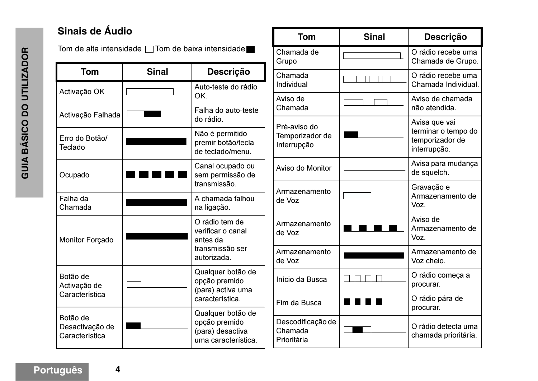# **Sinais de Áudio**

Tom de alta intensidade  $\Box$  Tom de baixa intensidade

| Tom                                           | <b>Sinal</b> | <b>Descrição</b>                                                                  |
|-----------------------------------------------|--------------|-----------------------------------------------------------------------------------|
| Activação OK                                  |              | Auto-teste do rádio<br>OK.                                                        |
| Activação Falhada                             |              | Falha do auto-teste<br>do rádio.                                                  |
| Erro do Botão/<br>Teclado                     |              | Não é permitido<br>premir botão/tecla<br>de teclado/menu.                         |
| Ocupado                                       |              | Canal ocupado ou<br>sem permissão de<br>transmissão.                              |
| Falha da<br>Chamada                           |              | A chamada falhou<br>na ligação.                                                   |
| <b>Monitor Forçado</b>                        |              | O rádio tem de<br>verificar o canal<br>antes da<br>transmissão ser<br>autorizada. |
| Botão de<br>Activação de<br>Característica    |              | Qualquer botão de<br>opção premido<br>(para) activa uma<br>característica.        |
| Botão de<br>Desactivação de<br>Característica |              | Qualquer botão de<br>opção premido<br>(para) desactiva<br>uma característica.     |

| Tom                                            | <b>Sinal</b> | <b>Descrição</b>                                                        |
|------------------------------------------------|--------------|-------------------------------------------------------------------------|
| Chamada de<br>Grupo                            |              | O rádio recebe uma<br>Chamada de Grupo.                                 |
| Chamada<br>Individual                          |              | O rádio recebe uma<br>Chamada Individual.                               |
| Aviso de<br>Chamada                            |              | Aviso de chamada<br>não atendida.                                       |
| Pré-aviso do<br>Temporizador de<br>Interrupção |              | Avisa que vai<br>terminar o tempo do<br>temporizador de<br>interrupção. |
| Aviso do Monitor                               |              | Avisa para mudança<br>de squelch.                                       |
| Armazenamento<br>de Voz                        |              | Gravação e<br>Armazenamento de<br>Voz.                                  |
| Armazenamento<br>de Voz                        |              | Aviso de<br>Armazenamento de<br>Voz.                                    |
| Armazenamento<br>de Voz                        |              | Armazenamento de<br>Voz cheio.                                          |
| Início da Busca                                |              | O rádio começa a<br>procurar.                                           |
| Fim da Busca                                   |              | O rádio pára de<br>procurar.                                            |
| Descodificação de<br>Chamada<br>Prioritária    |              | O rádio detecta uma<br>chamada prioritária.                             |

**Português**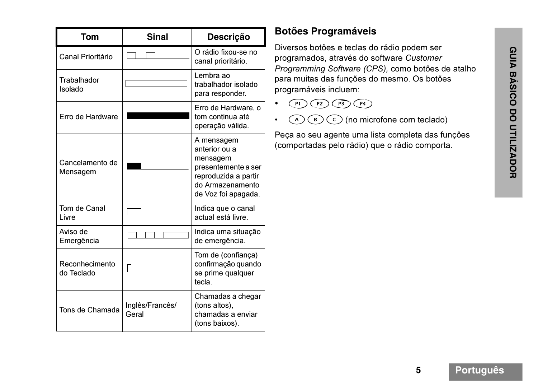| Tom                          | <b>Sinal</b>             | <b>Descrição</b>                                                                                                                  |
|------------------------------|--------------------------|-----------------------------------------------------------------------------------------------------------------------------------|
| <b>Canal Prioritário</b>     |                          | O rádio fixou-se no<br>canal prioritário.                                                                                         |
| Trabalhador<br>Isolado       |                          | Lembra ao<br>trabalhador isolado<br>para responder.                                                                               |
| Erro de Hardware             |                          | Erro de Hardware, o<br>tom continua até<br>operação válida.                                                                       |
| Cancelamento de<br>Mensagem  |                          | A mensagem<br>anterior ou a<br>mensagem<br>presentemente a ser<br>reproduzida a partir<br>do Armazenamento<br>de Voz foi apagada. |
| Tom de Canal<br>Livre        |                          | Indica que o canal<br>actual está livre.                                                                                          |
| Aviso de<br>Emergência       |                          | Indica uma situação<br>de emergência.                                                                                             |
| Reconhecimento<br>do Teclado |                          | Tom de (confiança)<br>confirmação quando<br>se prime qualquer<br>tecla.                                                           |
| Tons de Chamada              | Inglês/Francês/<br>Geral | Chamadas a chegar<br>(tons altos),<br>chamadas a enviar<br>(tons baixos).                                                         |

# **Botões Programáveis**

Diversos botões e teclas do rádio podem ser programados, através do software *Customer Programming Software (CPS),* como botões de atalho para muitas das funções do mesmo. Os botões programáveis incluem:

- • $P1)$  $(P2)$  $(P3)$  $(P4)$
- • $(\overline{\bf B})$  ( $\overline{\bf C}$ ) (no microfone com teclado)

Peça ao seu agente uma lista completa das funções (comportadas pelo rádio) que o rádio comporta.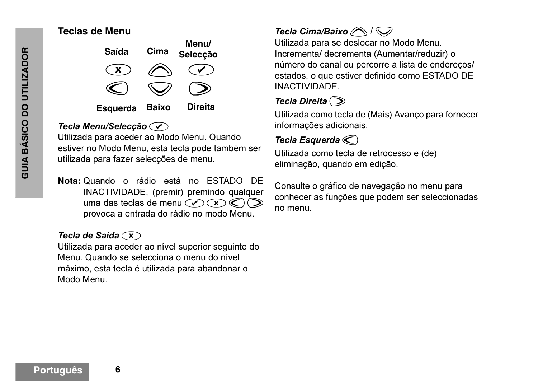#### **Teclas de Menu**



#### *Tecla Menu/Selecção*c

Utilizada para aceder ao Modo Menu. Quando estiver no Modo Menu, esta tecla pode também ser utilizada para fazer selecções de menu.

**Nota:** Quando o rádio está no ESTADO DE INACTIVIDADE, (premir) premindo qualquer uma das teclas de menu  $\mathcal{D}(\mathbf{X})\mathcal{D}(\mathbf{X})$ provoca a entrada do rádio no modo Menu.

#### *Tecla de Saída*  $\widehat{\mathbf{x}}$

Utilizada para aceder ao nível superior seguinte do Menu. Quando se selecciona o menu do nível máximo, esta tecla é utilizada para abandonar o Modo Menu.

# *Tecla Cima/Baixo* **/**  $\bigcirc$

Utilizada para se deslocar no Modo Menu. Incrementa/ decrementa (Aumentar/reduzir) o número do canal ou percorre a lista de endereços/ estados, o que estiver definido como ESTADO DE INACTIVIDADE.

# **Tecla Direita**  $\odot$

Utilizada como tecla de (Mais) Avanço para fornecer informações adicionais.

# *Tecla Esquerda*  $\textcircled{c}$

Utilizada como tecla de retrocesso e (de) eliminação, quando em edição.

Consulte o gráfico de navegação no menu para conhecer as funções que podem ser seleccionadas no menu.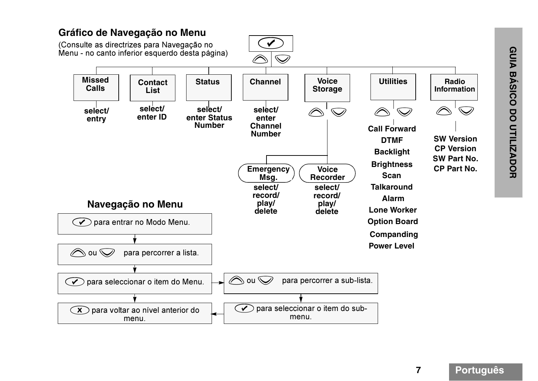

# **GUIA BÁSICO DO UTILIZADOR GUIA BÁSICO DO UTILIZADOR**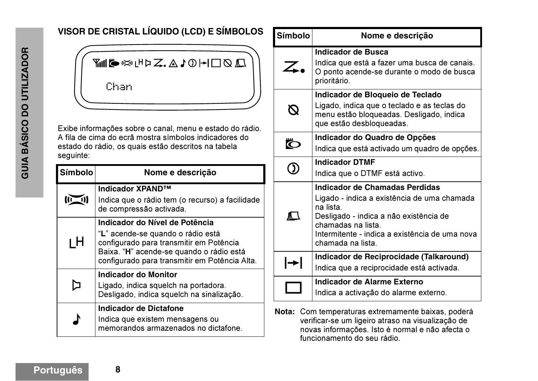# **VISOR DE CRISTAL LÍQUIDO (LCD) E SÍMBOLOS**



Exibe informações sobre o canal, menu e estado do rádio. A fila de cima do ecrã mostra símbolos indicadores do estado do rádio, os quais estão descritos na tabela seguinte:

| <b>Símbolo</b> | Nome e descrição                                                                                                                                                                                            |
|----------------|-------------------------------------------------------------------------------------------------------------------------------------------------------------------------------------------------------------|
|                | <b>Indicador XPAND™</b><br>Indica que o rádio tem (o recurso) a facilidade<br>de compressão activada.                                                                                                       |
| ιH             | Indicador do Nível de Potência<br>"L" acende-se quando o rádio está<br>configurado para transmitir em Potência<br>Baixa. "H" acende-se quando o rádio está<br>configurado para transmitir em Potência Alta. |
|                | <b>Indicador do Monitor</b><br>Ligado, indica squelch na portadora.<br>Desligado, indica squelch na sinalização.                                                                                            |
|                | Indicador de Dictafone<br>Indica que existem mensagens ou<br>memorandos armazenados no dictafone.                                                                                                           |

| <b>Símbolo</b> | Nome e descrição                                                                                                                                                                                                                  |
|----------------|-----------------------------------------------------------------------------------------------------------------------------------------------------------------------------------------------------------------------------------|
| $\angle$ .     | <b>Indicador de Busca</b><br>Indica que está a fazer uma busca de canais.<br>O ponto acende-se durante o modo de busca<br>prioritário.                                                                                            |
|                | Indicador de Bloqueio de Teclado<br>Ligado, indica que o teclado e as teclas do<br>menu estão bloqueadas. Desligado, indica<br>que estão desbloqueadas.                                                                           |
|                | Indicador do Quadro de Opções<br>Indica que está activado um quadro de opções.                                                                                                                                                    |
|                | <b>Indicador DTMF</b><br>Indica que o DTMF está activo.                                                                                                                                                                           |
| $\blacksquare$ | Indicador de Chamadas Perdidas<br>Ligado - indica a existência de uma chamada<br>na lista.<br>Desligado - indica a não existência de<br>chamadas na lista.<br>Intermitente - indica a existência de uma nova<br>chamada na lista. |
| $\rightarrow$  | Indicador de Reciprocidade (Talkaround)<br>Indica que a reciprocidade está activada.                                                                                                                                              |
|                | Indicador de Alarme Externo<br>Indica a activação do alarme externo.                                                                                                                                                              |

**Nota:** Com temperaturas extremamente baixas, poderá verificar-se um ligeiro atraso na visualização de novas informações. Isto é normal e não afecta o funcionamento do seu rádio.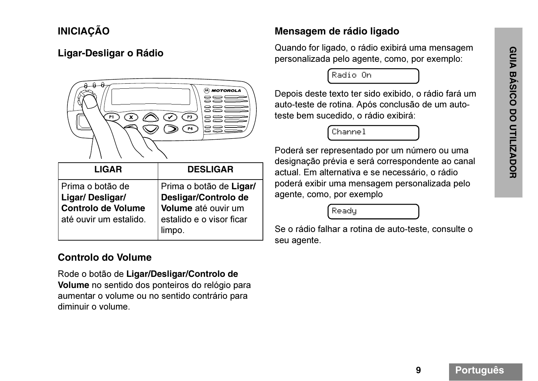# **INICIAÇÃO**

#### **Ligar-Desligar o Rádio**



| <b>LIGAR</b>              | <b>DESLIGAR</b>          |
|---------------------------|--------------------------|
| Prima o botão de          | Prima o botão de Ligar/  |
| Ligar/Desligar/           | Desligar/Controlo de     |
| <b>Controlo de Volume</b> | Volume até ouvir um      |
| até ouvir um estalido.    | estalido e o visor ficar |
|                           | limpo.                   |

#### **Controlo do Volume**

Rode o botão de **Ligar/Desligar/Controlo de Volume** no sentido dos ponteiros do relógio para aumentar o volume ou no sentido contrário para diminuir o volume.

#### **Mensagem de rádio ligado**

Quando for ligado, o rádio exibirá uma mensagem personalizada pelo agente, como, por exemplo:

Radio On

Depois deste texto ter sido exibido, o rádio fará um auto-teste de rotina. Após conclusão de um autoteste bem sucedido, o rádio exibirá:

Channel

Poderá ser representado por um número ou uma designação prévia e será correspondente ao canal actual. Em alternativa e se necessário, o rádio poderá exibir uma mensagem personalizada pelo agente, como, por exemplo

Ready

Se o rádio falhar a rotina de auto-teste, consulte o seu agente.